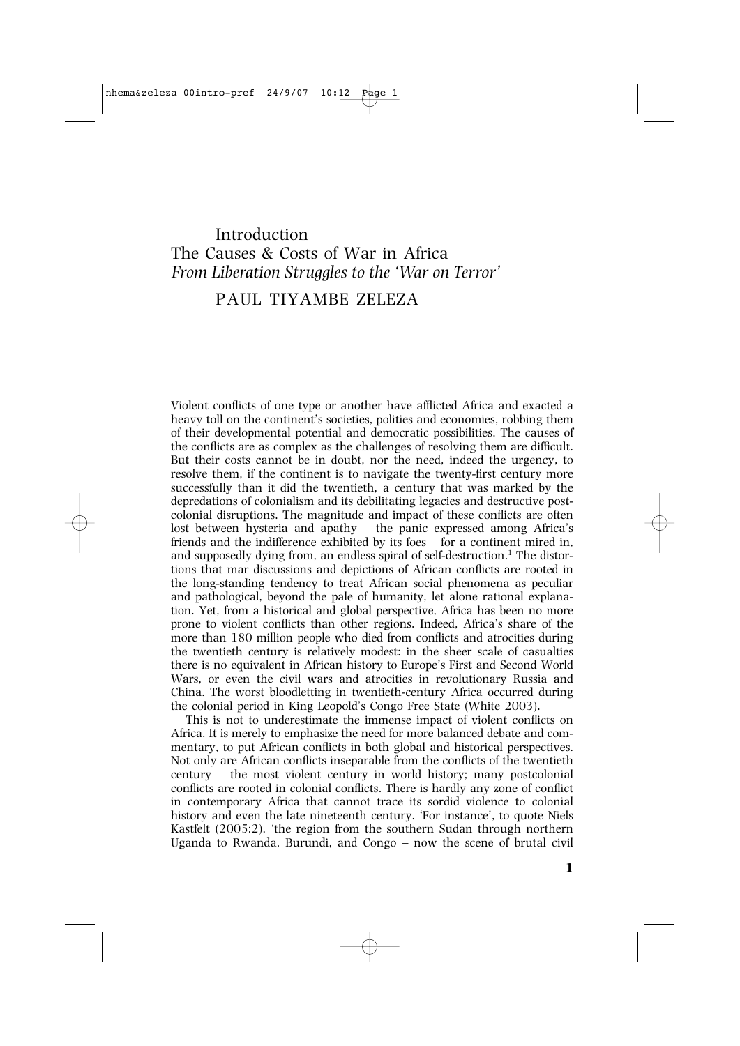# Introduction The Causes & Costs of War in Africa *From Liberation Struggles to the 'War on Terror'*

## PAUL TIYAMBE ZELEZA

Violent conflicts of one type or another have afflicted Africa and exacted a heavy toll on the continent's societies, polities and economies, robbing them of their developmental potential and democratic possibilities. The causes of the conflicts are as complex as the challenges of resolving them are difficult. But their costs cannot be in doubt, nor the need, indeed the urgency, to resolve them, if the continent is to navigate the twenty-first century more successfully than it did the twentieth, a century that was marked by the depredations of colonialism and its debilitating legacies and destructive postcolonial disruptions. The magnitude and impact of these conflicts are often lost between hysteria and apathy – the panic expressed among Africa's friends and the indifference exhibited by its foes – for a continent mired in, and supposedly dying from, an endless spiral of self-destruction.<sup>1</sup> The distortions that mar discussions and depictions of African conflicts are rooted in the long-standing tendency to treat African social phenomena as peculiar and pathological, beyond the pale of humanity, let alone rational explanation. Yet, from a historical and global perspective, Africa has been no more prone to violent conflicts than other regions. Indeed, Africa's share of the more than 180 million people who died from conflicts and atrocities during the twentieth century is relatively modest: in the sheer scale of casualties there is no equivalent in African history to Europe's First and Second World Wars, or even the civil wars and atrocities in revolutionary Russia and China. The worst bloodletting in twentieth-century Africa occurred during the colonial period in King Leopold's Congo Free State (White 2003).

This is not to underestimate the immense impact of violent conflicts on Africa. It is merely to emphasize the need for more balanced debate and commentary, to put African conflicts in both global and historical perspectives. Not only are African conflicts inseparable from the conflicts of the twentieth century – the most violent century in world history; many postcolonial conflicts are rooted in colonial conflicts. There is hardly any zone of conflict in contemporary Africa that cannot trace its sordid violence to colonial history and even the late nineteenth century. 'For instance', to quote Niels Kastfelt (2005:2), 'the region from the southern Sudan through northern Uganda to Rwanda, Burundi, and Congo – now the scene of brutal civil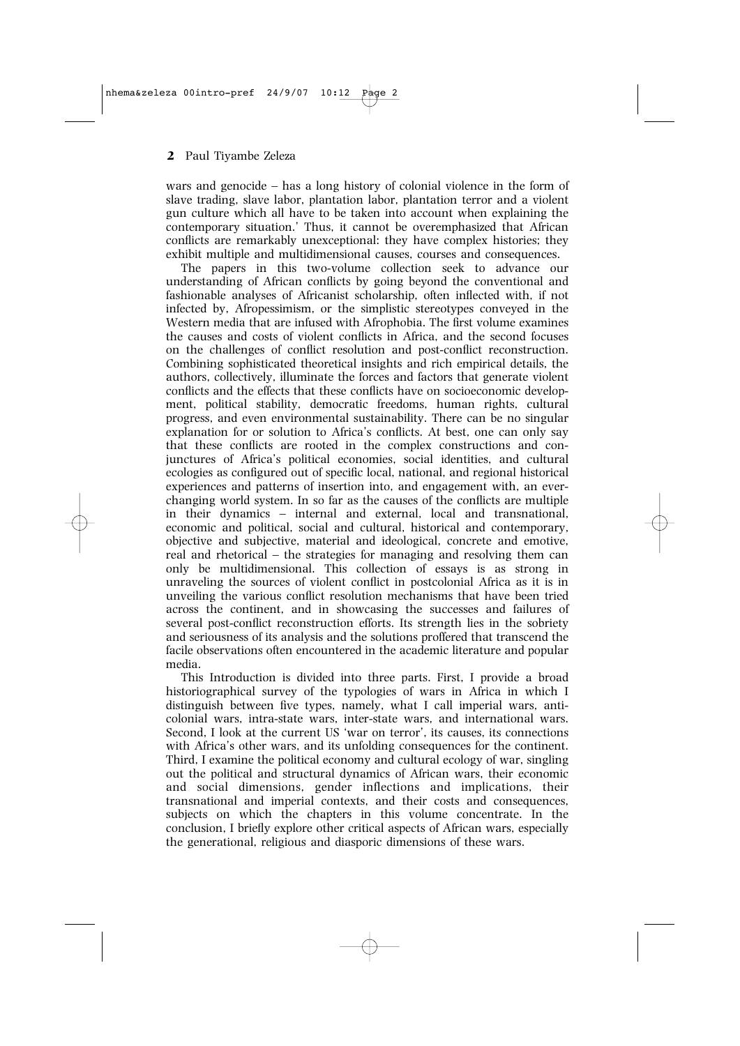wars and genocide – has a long history of colonial violence in the form of slave trading, slave labor, plantation labor, plantation terror and a violent gun culture which all have to be taken into account when explaining the contemporary situation.' Thus, it cannot be overemphasized that African conflicts are remarkably unexceptional: they have complex histories; they exhibit multiple and multidimensional causes, courses and consequences.

The papers in this two-volume collection seek to advance our understanding of African conflicts by going beyond the conventional and fashionable analyses of Africanist scholarship, often inflected with, if not infected by, Afropessimism, or the simplistic stereotypes conveyed in the Western media that are infused with Afrophobia. The first volume examines the causes and costs of violent conflicts in Africa, and the second focuses on the challenges of conflict resolution and post-conflict reconstruction. Combining sophisticated theoretical insights and rich empirical details, the authors, collectively, illuminate the forces and factors that generate violent conflicts and the effects that these conflicts have on socioeconomic development, political stability, democratic freedoms, human rights, cultural progress, and even environmental sustainability. There can be no singular explanation for or solution to Africa's conflicts. At best, one can only say that these conflicts are rooted in the complex constructions and conjunctures of Africa's political economies, social identities, and cultural ecologies as configured out of specific local, national, and regional historical experiences and patterns of insertion into, and engagement with, an everchanging world system. In so far as the causes of the conflicts are multiple in their dynamics – internal and external, local and transnational, economic and political, social and cultural, historical and contemporary, objective and subjective, material and ideological, concrete and emotive, real and rhetorical – the strategies for managing and resolving them can only be multidimensional. This collection of essays is as strong in unraveling the sources of violent conflict in postcolonial Africa as it is in unveiling the various conflict resolution mechanisms that have been tried across the continent, and in showcasing the successes and failures of several post-conflict reconstruction efforts. Its strength lies in the sobriety and seriousness of its analysis and the solutions proffered that transcend the facile observations often encountered in the academic literature and popular media.

This Introduction is divided into three parts. First, I provide a broad historiographical survey of the typologies of wars in Africa in which I distinguish between five types, namely, what I call imperial wars, anticolonial wars, intra-state wars, inter-state wars, and international wars. Second, I look at the current US 'war on terror', its causes, its connections with Africa's other wars, and its unfolding consequences for the continent. Third, I examine the political economy and cultural ecology of war, singling out the political and structural dynamics of African wars, their economic and social dimensions, gender inflections and implications, their transnational and imperial contexts, and their costs and consequences, subjects on which the chapters in this volume concentrate. In the conclusion, I briefly explore other critical aspects of African wars, especially the generational, religious and diasporic dimensions of these wars.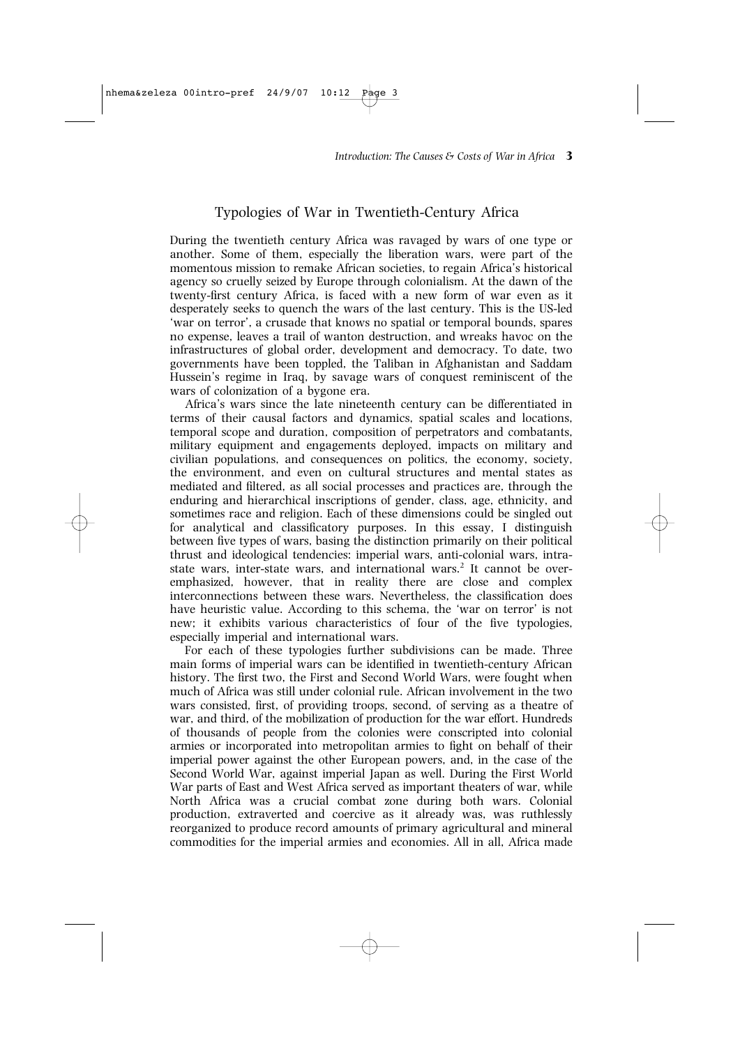### Typologies of War in Twentieth-Century Africa

During the twentieth century Africa was ravaged by wars of one type or another. Some of them, especially the liberation wars, were part of the momentous mission to remake African societies, to regain Africa's historical agency so cruelly seized by Europe through colonialism. At the dawn of the twenty-first century Africa, is faced with a new form of war even as it desperately seeks to quench the wars of the last century. This is the US-led 'war on terror', a crusade that knows no spatial or temporal bounds, spares no expense, leaves a trail of wanton destruction, and wreaks havoc on the infrastructures of global order, development and democracy. To date, two governments have been toppled, the Taliban in Afghanistan and Saddam Hussein's regime in Iraq, by savage wars of conquest reminiscent of the wars of colonization of a bygone era.

Africa's wars since the late nineteenth century can be differentiated in terms of their causal factors and dynamics, spatial scales and locations, temporal scope and duration, composition of perpetrators and combatants, military equipment and engagements deployed, impacts on military and civilian populations, and consequences on politics, the economy, society, the environment, and even on cultural structures and mental states as mediated and filtered, as all social processes and practices are, through the enduring and hierarchical inscriptions of gender, class, age, ethnicity, and sometimes race and religion. Each of these dimensions could be singled out for analytical and classificatory purposes. In this essay, I distinguish between five types of wars, basing the distinction primarily on their political thrust and ideological tendencies: imperial wars, anti-colonial wars, intrastate wars, inter-state wars, and international wars.<sup>2</sup> It cannot be overemphasized, however, that in reality there are close and complex interconnections between these wars. Nevertheless, the classification does have heuristic value. According to this schema, the 'war on terror' is not new; it exhibits various characteristics of four of the five typologies, especially imperial and international wars.

For each of these typologies further subdivisions can be made. Three main forms of imperial wars can be identified in twentieth-century African history. The first two, the First and Second World Wars, were fought when much of Africa was still under colonial rule. African involvement in the two wars consisted, first, of providing troops, second, of serving as a theatre of war, and third, of the mobilization of production for the war effort. Hundreds of thousands of people from the colonies were conscripted into colonial armies or incorporated into metropolitan armies to fight on behalf of their imperial power against the other European powers, and, in the case of the Second World War, against imperial Japan as well. During the First World War parts of East and West Africa served as important theaters of war, while North Africa was a crucial combat zone during both wars. Colonial production, extraverted and coercive as it already was, was ruthlessly reorganized to produce record amounts of primary agricultural and mineral commodities for the imperial armies and economies. All in all, Africa made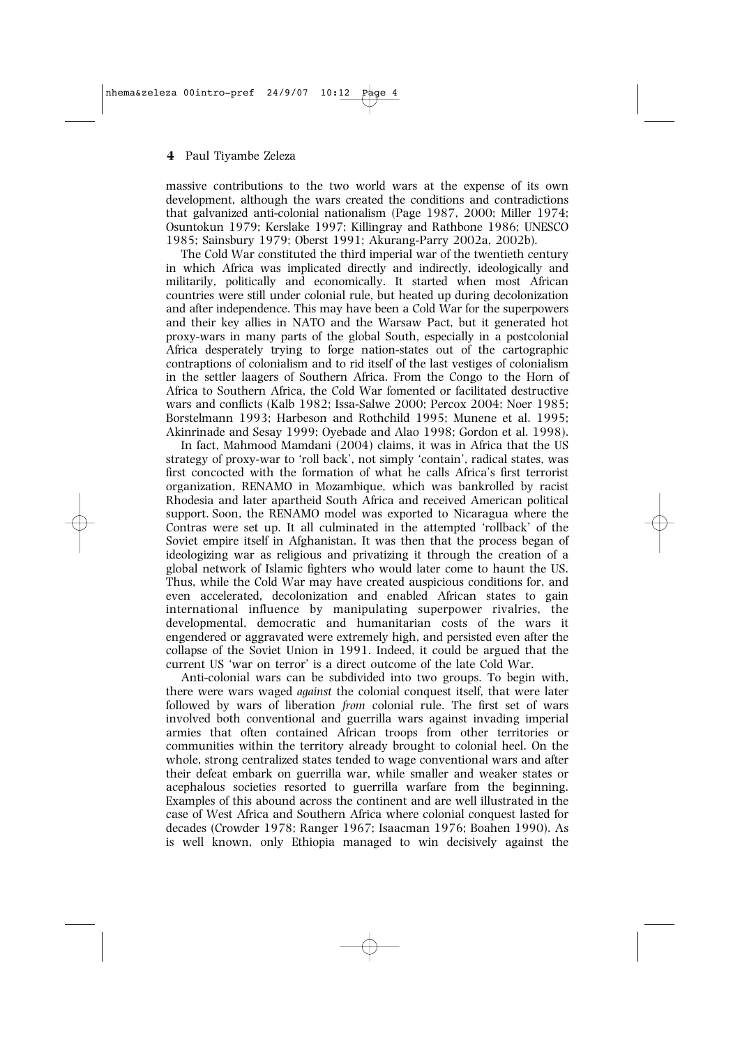massive contributions to the two world wars at the expense of its own development, although the wars created the conditions and contradictions that galvanized anti-colonial nationalism (Page 1987, 2000; Miller 1974; Osuntokun 1979; Kerslake 1997; Killingray and Rathbone 1986; UNESCO 1985; Sainsbury 1979; Oberst 1991; Akurang-Parry 2002a, 2002b).

The Cold War constituted the third imperial war of the twentieth century in which Africa was implicated directly and indirectly, ideologically and militarily, politically and economically. It started when most African countries were still under colonial rule, but heated up during decolonization and after independence. This may have been a Cold War for the superpowers and their key allies in NATO and the Warsaw Pact, but it generated hot proxy-wars in many parts of the global South, especially in a postcolonial Africa desperately trying to forge nation-states out of the cartographic contraptions of colonialism and to rid itself of the last vestiges of colonialism in the settler laagers of Southern Africa. From the Congo to the Horn of Africa to Southern Africa, the Cold War fomented or facilitated destructive wars and conflicts (Kalb 1982; Issa-Salwe 2000; Percox 2004; Noer 1985; Borstelmann 1993; Harbeson and Rothchild 1995; Munene et al. 1995; Akinrinade and Sesay 1999; Oyebade and Alao 1998; Gordon et al. 1998).

In fact, Mahmood Mamdani (2004) claims, it was in Africa that the US strategy of proxy-war to 'roll back', not simply 'contain', radical states, was first concocted with the formation of what he calls Africa's first terrorist organization, RENAMO in Mozambique, which was bankrolled by racist Rhodesia and later apartheid South Africa and received American political support. Soon, the RENAMO model was exported to Nicaragua where the Contras were set up. It all culminated in the attempted 'rollback' of the Soviet empire itself in Afghanistan. It was then that the process began of ideologizing war as religious and privatizing it through the creation of a global network of Islamic fighters who would later come to haunt the US. Thus, while the Cold War may have created auspicious conditions for, and even accelerated, decolonization and enabled African states to gain international influence by manipulating superpower rivalries, the developmental, democratic and humanitarian costs of the wars it engendered or aggravated were extremely high, and persisted even after the collapse of the Soviet Union in 1991. Indeed, it could be argued that the current US 'war on terror' is a direct outcome of the late Cold War.

Anti-colonial wars can be subdivided into two groups. To begin with, there were wars waged *against* the colonial conquest itself, that were later followed by wars of liberation *from* colonial rule. The first set of wars involved both conventional and guerrilla wars against invading imperial armies that often contained African troops from other territories or communities within the territory already brought to colonial heel. On the whole, strong centralized states tended to wage conventional wars and after their defeat embark on guerrilla war, while smaller and weaker states or acephalous societies resorted to guerrilla warfare from the beginning. Examples of this abound across the continent and are well illustrated in the case of West Africa and Southern Africa where colonial conquest lasted for decades (Crowder 1978; Ranger 1967; Isaacman 1976; Boahen 1990). As is well known, only Ethiopia managed to win decisively against the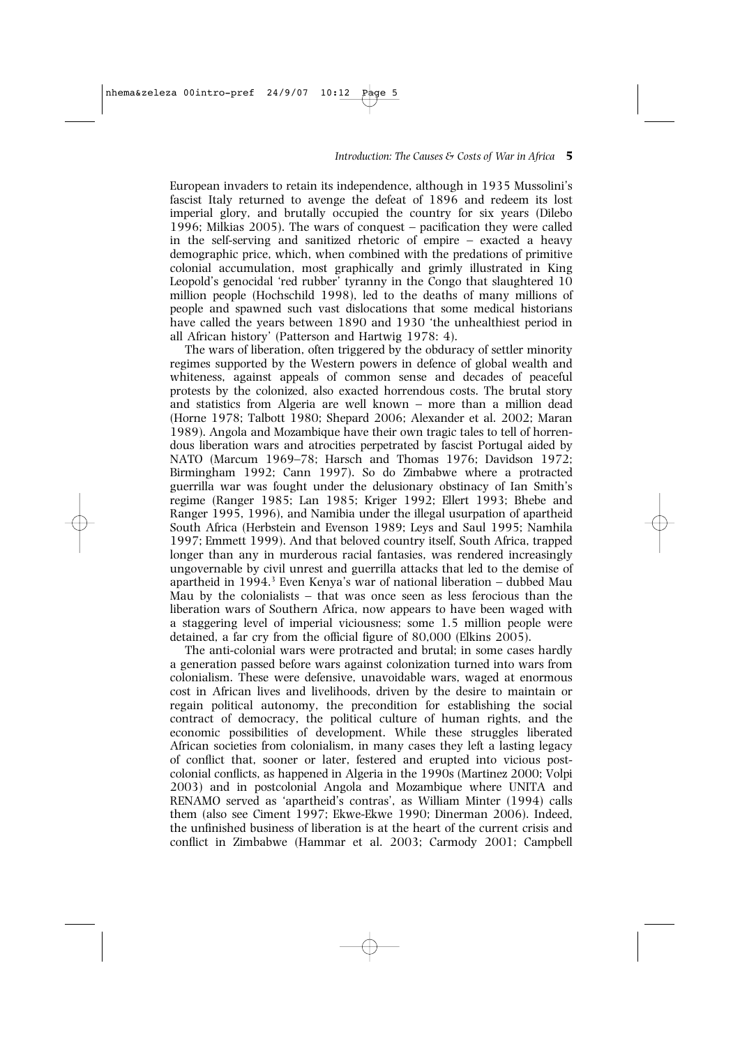European invaders to retain its independence, although in 1935 Mussolini's fascist Italy returned to avenge the defeat of 1896 and redeem its lost imperial glory, and brutally occupied the country for six years (Dilebo 1996; Milkias 2005). The wars of conquest – pacification they were called in the self-serving and sanitized rhetoric of empire – exacted a heavy demographic price, which, when combined with the predations of primitive colonial accumulation, most graphically and grimly illustrated in King Leopold's genocidal 'red rubber' tyranny in the Congo that slaughtered 10 million people (Hochschild 1998), led to the deaths of many millions of people and spawned such vast dislocations that some medical historians have called the years between 1890 and 1930 'the unhealthiest period in all African history' (Patterson and Hartwig 1978: 4).

The wars of liberation, often triggered by the obduracy of settler minority regimes supported by the Western powers in defence of global wealth and whiteness, against appeals of common sense and decades of peaceful protests by the colonized, also exacted horrendous costs. The brutal story and statistics from Algeria are well known – more than a million dead (Horne 1978; Talbott 1980; Shepard 2006; Alexander et al. 2002; Maran 1989). Angola and Mozambique have their own tragic tales to tell of horrendous liberation wars and atrocities perpetrated by fascist Portugal aided by NATO (Marcum 1969–78; Harsch and Thomas 1976; Davidson 1972; Birmingham 1992; Cann 1997). So do Zimbabwe where a protracted guerrilla war was fought under the delusionary obstinacy of Ian Smith's regime (Ranger 1985; Lan 1985; Kriger 1992; Ellert 1993; Bhebe and Ranger 1995, 1996), and Namibia under the illegal usurpation of apartheid South Africa (Herbstein and Evenson 1989; Leys and Saul 1995; Namhila 1997; Emmett 1999). And that beloved country itself, South Africa, trapped longer than any in murderous racial fantasies, was rendered increasingly ungovernable by civil unrest and guerrilla attacks that led to the demise of apartheid in  $1994$ <sup>3</sup> Even Kenya's war of national liberation – dubbed Mau Mau by the colonialists – that was once seen as less ferocious than the liberation wars of Southern Africa, now appears to have been waged with a staggering level of imperial viciousness; some 1.5 million people were detained, a far cry from the official figure of 80,000 (Elkins 2005).

The anti-colonial wars were protracted and brutal; in some cases hardly a generation passed before wars against colonization turned into wars from colonialism. These were defensive, unavoidable wars, waged at enormous cost in African lives and livelihoods, driven by the desire to maintain or regain political autonomy, the precondition for establishing the social contract of democracy, the political culture of human rights, and the economic possibilities of development. While these struggles liberated African societies from colonialism, in many cases they left a lasting legacy of conflict that, sooner or later, festered and erupted into vicious postcolonial conflicts, as happened in Algeria in the 1990s (Martinez 2000; Volpi 2003) and in postcolonial Angola and Mozambique where UNITA and RENAMO served as 'apartheid's contras', as William Minter (1994) calls them (also see Ciment 1997; Ekwe-Ekwe 1990; Dinerman 2006). Indeed, the unfinished business of liberation is at the heart of the current crisis and conflict in Zimbabwe (Hammar et al. 2003; Carmody 2001; Campbell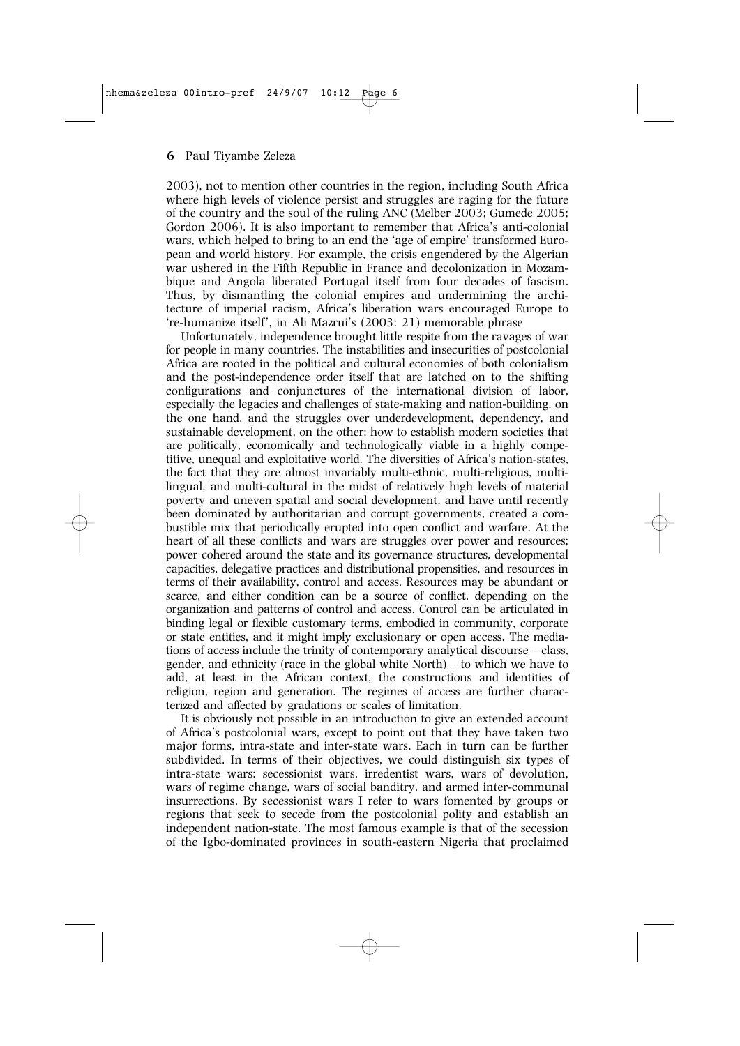2003), not to mention other countries in the region, including South Africa where high levels of violence persist and struggles are raging for the future of the country and the soul of the ruling ANC (Melber 2003; Gumede 2005; Gordon 2006). It is also important to remember that Africa's anti-colonial wars, which helped to bring to an end the 'age of empire' transformed European and world history. For example, the crisis engendered by the Algerian war ushered in the Fifth Republic in France and decolonization in Mozambique and Angola liberated Portugal itself from four decades of fascism. Thus, by dismantling the colonial empires and undermining the architecture of imperial racism, Africa's liberation wars encouraged Europe to 're-humanize itself', in Ali Mazrui's (2003: 21) memorable phrase

Unfortunately, independence brought little respite from the ravages of war for people in many countries. The instabilities and insecurities of postcolonial Africa are rooted in the political and cultural economies of both colonialism and the post-independence order itself that are latched on to the shifting configurations and conjunctures of the international division of labor, especially the legacies and challenges of state-making and nation-building, on the one hand, and the struggles over underdevelopment, dependency, and sustainable development, on the other; how to establish modern societies that are politically, economically and technologically viable in a highly competitive, unequal and exploitative world. The diversities of Africa's nation-states, the fact that they are almost invariably multi-ethnic, multi-religious, multilingual, and multi-cultural in the midst of relatively high levels of material poverty and uneven spatial and social development, and have until recently been dominated by authoritarian and corrupt governments, created a combustible mix that periodically erupted into open conflict and warfare. At the heart of all these conflicts and wars are struggles over power and resources: power cohered around the state and its governance structures, developmental capacities, delegative practices and distributional propensities, and resources in terms of their availability, control and access. Resources may be abundant or scarce, and either condition can be a source of conflict, depending on the organization and patterns of control and access. Control can be articulated in binding legal or flexible customary terms, embodied in community, corporate or state entities, and it might imply exclusionary or open access. The mediations of access include the trinity of contemporary analytical discourse – class, gender, and ethnicity (race in the global white North) – to which we have to add, at least in the African context, the constructions and identities of religion, region and generation. The regimes of access are further characterized and affected by gradations or scales of limitation.

It is obviously not possible in an introduction to give an extended account of Africa's postcolonial wars, except to point out that they have taken two major forms, intra-state and inter-state wars. Each in turn can be further subdivided. In terms of their objectives, we could distinguish six types of intra-state wars: secessionist wars, irredentist wars, wars of devolution, wars of regime change, wars of social banditry, and armed inter-communal insurrections. By secessionist wars I refer to wars fomented by groups or regions that seek to secede from the postcolonial polity and establish an independent nation-state. The most famous example is that of the secession of the Igbo-dominated provinces in south-eastern Nigeria that proclaimed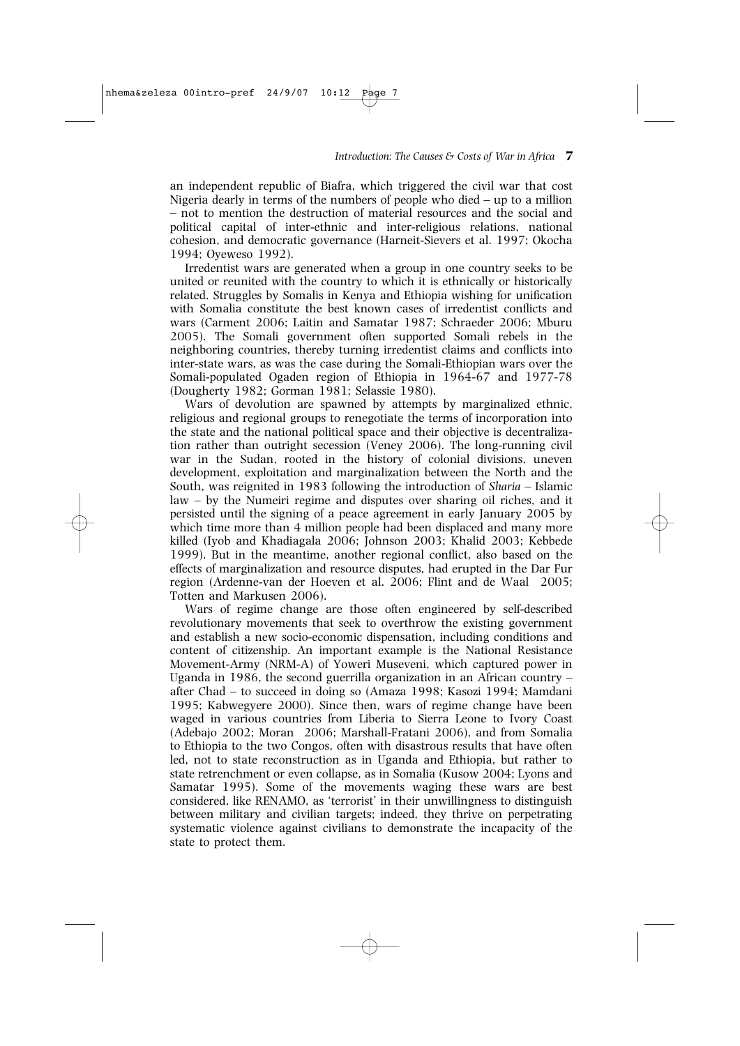an independent republic of Biafra, which triggered the civil war that cost Nigeria dearly in terms of the numbers of people who died – up to a million – not to mention the destruction of material resources and the social and political capital of inter-ethnic and inter-religious relations, national cohesion, and democratic governance (Harneit-Sievers et al. 1997; Okocha 1994; Oyeweso 1992).

Irredentist wars are generated when a group in one country seeks to be united or reunited with the country to which it is ethnically or historically related. Struggles by Somalis in Kenya and Ethiopia wishing for unification with Somalia constitute the best known cases of irredentist conflicts and wars (Carment 2006; Laitin and Samatar 1987; Schraeder 2006; Mburu 2005). The Somali government often supported Somali rebels in the neighboring countries, thereby turning irredentist claims and conflicts into inter-state wars, as was the case during the Somali-Ethiopian wars over the Somali-populated Ogaden region of Ethiopia in 1964-67 and 1977-78 (Dougherty 1982; Gorman 1981; Selassie 1980).

Wars of devolution are spawned by attempts by marginalized ethnic, religious and regional groups to renegotiate the terms of incorporation into the state and the national political space and their objective is decentralization rather than outright secession (Veney 2006). The long-running civil war in the Sudan, rooted in the history of colonial divisions, uneven development, exploitation and marginalization between the North and the South, was reignited in 1983 following the introduction of *Sharia* – Islamic law – by the Numeiri regime and disputes over sharing oil riches, and it persisted until the signing of a peace agreement in early January 2005 by which time more than 4 million people had been displaced and many more killed (Iyob and Khadiagala 2006; Johnson 2003; Khalid 2003; Kebbede 1999). But in the meantime, another regional conflict, also based on the effects of marginalization and resource disputes, had erupted in the Dar Fur region (Ardenne-van der Hoeven et al. 2006; Flint and de Waal 2005; Totten and Markusen 2006).

Wars of regime change are those often engineered by self-described revolutionary movements that seek to overthrow the existing government and establish a new socio-economic dispensation, including conditions and content of citizenship. An important example is the National Resistance Movement-Army (NRM-A) of Yoweri Museveni, which captured power in Uganda in 1986, the second guerrilla organization in an African country – after Chad – to succeed in doing so (Amaza 1998; Kasozi 1994; Mamdani 1995; Kabwegyere 2000). Since then, wars of regime change have been waged in various countries from Liberia to Sierra Leone to Ivory Coast (Adebajo 2002; Moran 2006; Marshall-Fratani 2006), and from Somalia to Ethiopia to the two Congos, often with disastrous results that have often led, not to state reconstruction as in Uganda and Ethiopia, but rather to state retrenchment or even collapse, as in Somalia (Kusow 2004; Lyons and Samatar 1995). Some of the movements waging these wars are best considered, like RENAMO, as 'terrorist' in their unwillingness to distinguish between military and civilian targets; indeed, they thrive on perpetrating systematic violence against civilians to demonstrate the incapacity of the state to protect them.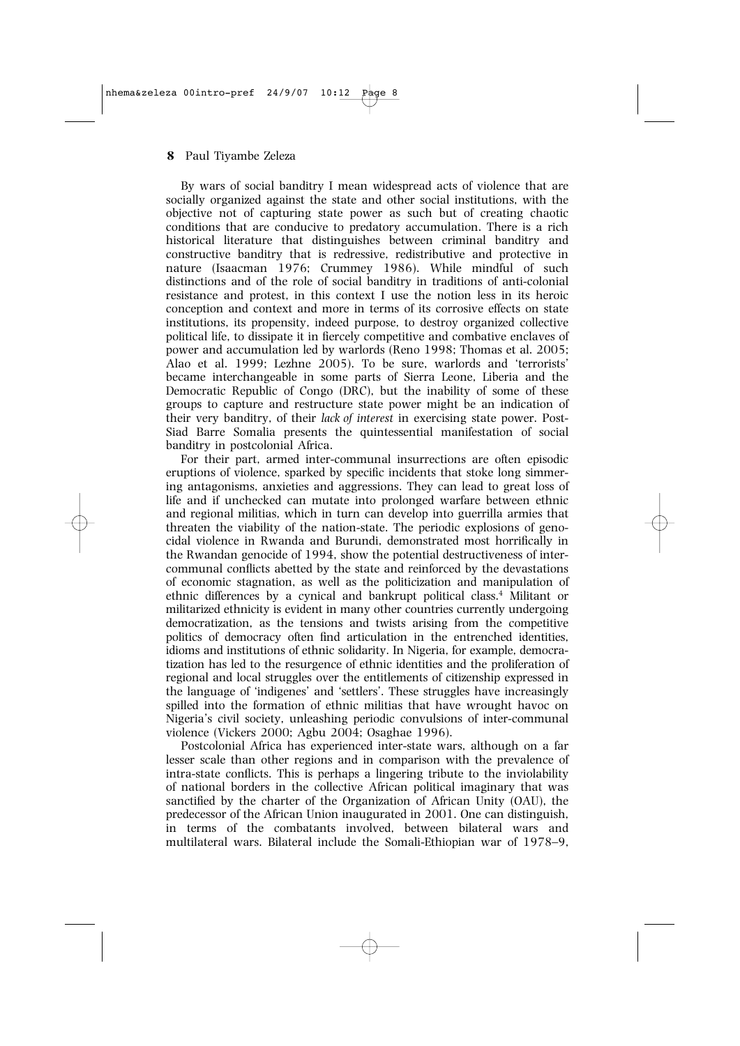By wars of social banditry I mean widespread acts of violence that are socially organized against the state and other social institutions, with the objective not of capturing state power as such but of creating chaotic conditions that are conducive to predatory accumulation. There is a rich historical literature that distinguishes between criminal banditry and constructive banditry that is redressive, redistributive and protective in nature (Isaacman 1976; Crummey 1986). While mindful of such distinctions and of the role of social banditry in traditions of anti-colonial resistance and protest, in this context I use the notion less in its heroic conception and context and more in terms of its corrosive effects on state institutions, its propensity, indeed purpose, to destroy organized collective political life, to dissipate it in fiercely competitive and combative enclaves of power and accumulation led by warlords (Reno 1998; Thomas et al. 2005; Alao et al. 1999; Lezhne 2005). To be sure, warlords and 'terrorists' became interchangeable in some parts of Sierra Leone, Liberia and the Democratic Republic of Congo (DRC), but the inability of some of these groups to capture and restructure state power might be an indication of their very banditry, of their *lack of interest* in exercising state power. Post-Siad Barre Somalia presents the quintessential manifestation of social banditry in postcolonial Africa.

For their part, armed inter-communal insurrections are often episodic eruptions of violence, sparked by specific incidents that stoke long simmering antagonisms, anxieties and aggressions. They can lead to great loss of life and if unchecked can mutate into prolonged warfare between ethnic and regional militias, which in turn can develop into guerrilla armies that threaten the viability of the nation-state. The periodic explosions of genocidal violence in Rwanda and Burundi, demonstrated most horrifically in the Rwandan genocide of 1994, show the potential destructiveness of intercommunal conflicts abetted by the state and reinforced by the devastations of economic stagnation, as well as the politicization and manipulation of ethnic differences by a cynical and bankrupt political class.4 Militant or militarized ethnicity is evident in many other countries currently undergoing democratization, as the tensions and twists arising from the competitive politics of democracy often find articulation in the entrenched identities, idioms and institutions of ethnic solidarity. In Nigeria, for example, democratization has led to the resurgence of ethnic identities and the proliferation of regional and local struggles over the entitlements of citizenship expressed in the language of 'indigenes' and 'settlers'. These struggles have increasingly spilled into the formation of ethnic militias that have wrought havoc on Nigeria's civil society, unleashing periodic convulsions of inter-communal violence (Vickers 2000; Agbu 2004; Osaghae 1996).

Postcolonial Africa has experienced inter-state wars, although on a far lesser scale than other regions and in comparison with the prevalence of intra-state conflicts. This is perhaps a lingering tribute to the inviolability of national borders in the collective African political imaginary that was sanctified by the charter of the Organization of African Unity (OAU), the predecessor of the African Union inaugurated in 2001. One can distinguish, in terms of the combatants involved, between bilateral wars and multilateral wars. Bilateral include the Somali-Ethiopian war of 1978–9,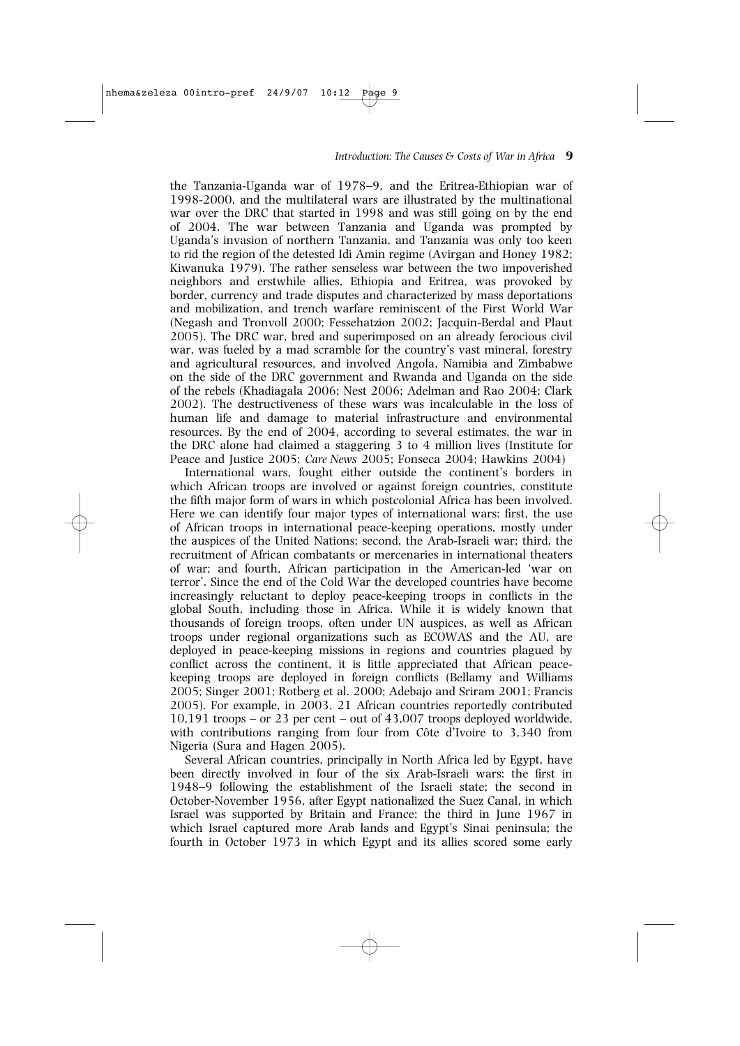the Tanzania-Uganda war of 1978–9, and the Eritrea-Ethiopian war of 1998-2000, and the multilateral wars are illustrated by the multinational war over the DRC that started in 1998 and was still going on by the end of 2004. The war between Tanzania and Uganda was prompted by Uganda's invasion of northern Tanzania, and Tanzania was only too keen to rid the region of the detested Idi Amin regime (Avirgan and Honey 1982; Kiwanuka 1979). The rather senseless war between the two impoverished neighbors and erstwhile allies, Ethiopia and Eritrea, was provoked by border, currency and trade disputes and characterized by mass deportations and mobilization, and trench warfare reminiscent of the First World War (Negash and Tronvoll 2000; Fessehatzion 2002; Jacquin-Berdal and Plaut 2005). The DRC war, bred and superimposed on an already ferocious civil war, was fueled by a mad scramble for the country's vast mineral, forestry and agricultural resources, and involved Angola, Namibia and Zimbabwe on the side of the DRC government and Rwanda and Uganda on the side of the rebels (Khadiagala 2006; Nest 2006; Adelman and Rao 2004; Clark 2002). The destructiveness of these wars was incalculable in the loss of human life and damage to material infrastructure and environmental resources. By the end of 2004, according to several estimates, the war in the DRC alone had claimed a staggering 3 to 4 million lives (Institute for Peace and Justice 2005; *Care News* 2005; Fonseca 2004; Hawkins 2004)

International wars, fought either outside the continent's borders in which African troops are involved or against foreign countries, constitute the fifth major form of wars in which postcolonial Africa has been involved. Here we can identify four major types of international wars: first, the use of African troops in international peace-keeping operations, mostly under the auspices of the United Nations; second, the Arab-Israeli war; third, the recruitment of African combatants or mercenaries in international theaters of war; and fourth, African participation in the American-led 'war on terror'. Since the end of the Cold War the developed countries have become increasingly reluctant to deploy peace-keeping troops in conflicts in the global South, including those in Africa. While it is widely known that thousands of foreign troops, often under UN auspices, as well as African troops under regional organizations such as ECOWAS and the AU, are deployed in peace-keeping missions in regions and countries plagued by conflict across the continent, it is little appreciated that African peacekeeping troops are deployed in foreign conflicts (Bellamy and Williams 2005; Singer 2001; Rotberg et al. 2000; Adebajo and Sriram 2001; Francis 2005). For example, in 2003, 21 African countries reportedly contributed 10,191 troops – or 23 per cent – out of 43,007 troops deployed worldwide, with contributions ranging from four from Côte d'Ivoire to 3,340 from Nigeria (Sura and Hagen 2005).

Several African countries, principally in North Africa led by Egypt, have been directly involved in four of the six Arab-Israeli wars: the first in 1948–9 following the establishment of the Israeli state; the second in October-November 1956, after Egypt nationalized the Suez Canal, in which Israel was supported by Britain and France; the third in June 1967 in which Israel captured more Arab lands and Egypt's Sinai peninsula; the fourth in October 1973 in which Egypt and its allies scored some early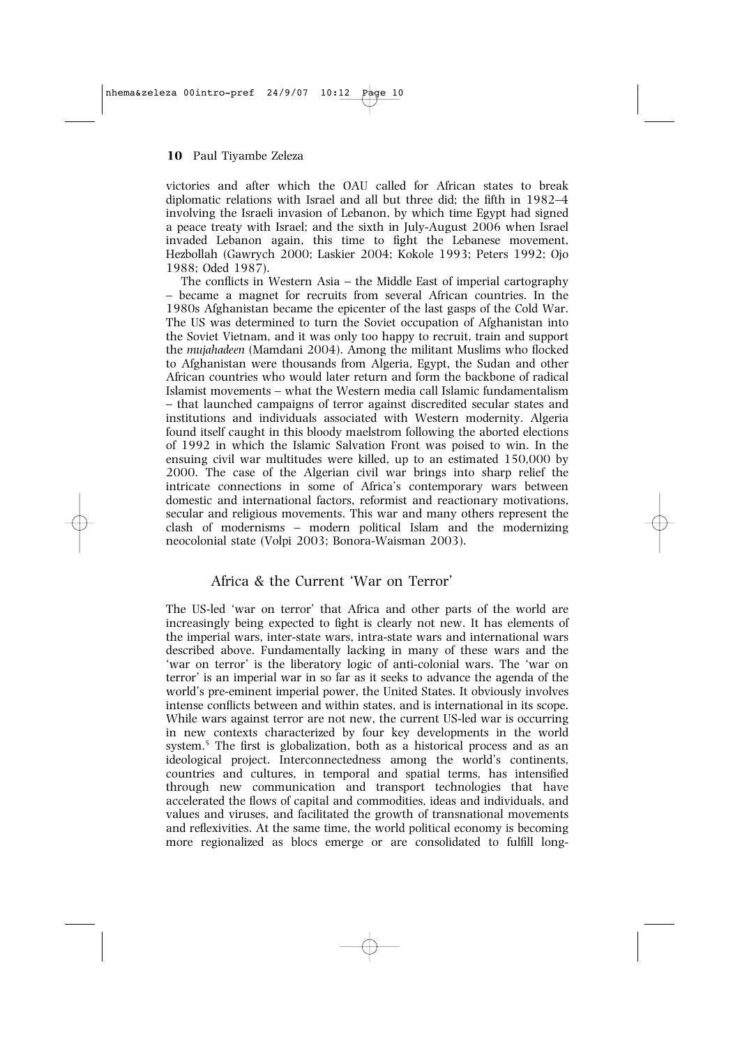victories and after which the OAU called for African states to break diplomatic relations with Israel and all but three did; the fifth in 1982–4 involving the Israeli invasion of Lebanon, by which time Egypt had signed a peace treaty with Israel; and the sixth in July-August 2006 when Israel invaded Lebanon again, this time to fight the Lebanese movement, Hezbollah (Gawrych 2000; Laskier 2004; Kokole 1993; Peters 1992; Ojo 1988; Oded 1987).

The conflicts in Western Asia – the Middle East of imperial cartography – became a magnet for recruits from several African countries. In the 1980s Afghanistan became the epicenter of the last gasps of the Cold War. The US was determined to turn the Soviet occupation of Afghanistan into the Soviet Vietnam, and it was only too happy to recruit, train and support the *mujahadeen* (Mamdani 2004). Among the militant Muslims who flocked to Afghanistan were thousands from Algeria, Egypt, the Sudan and other African countries who would later return and form the backbone of radical Islamist movements – what the Western media call Islamic fundamentalism – that launched campaigns of terror against discredited secular states and institutions and individuals associated with Western modernity. Algeria found itself caught in this bloody maelstrom following the aborted elections of 1992 in which the Islamic Salvation Front was poised to win. In the ensuing civil war multitudes were killed, up to an estimated 150,000 by 2000. The case of the Algerian civil war brings into sharp relief the intricate connections in some of Africa's contemporary wars between domestic and international factors, reformist and reactionary motivations, secular and religious movements. This war and many others represent the clash of modernisms – modern political Islam and the modernizing neocolonial state (Volpi 2003; Bonora-Waisman 2003).

### Africa & the Current 'War on Terror'

The US-led 'war on terror' that Africa and other parts of the world are increasingly being expected to fight is clearly not new. It has elements of the imperial wars, inter-state wars, intra-state wars and international wars described above. Fundamentally lacking in many of these wars and the 'war on terror' is the liberatory logic of anti-colonial wars. The 'war on terror' is an imperial war in so far as it seeks to advance the agenda of the world's pre-eminent imperial power, the United States. It obviously involves intense conflicts between and within states, and is international in its scope. While wars against terror are not new, the current US-led war is occurring in new contexts characterized by four key developments in the world system.<sup>5</sup> The first is globalization, both as a historical process and as an ideological project. Interconnectedness among the world's continents, countries and cultures, in temporal and spatial terms, has intensified through new communication and transport technologies that have accelerated the flows of capital and commodities, ideas and individuals, and values and viruses, and facilitated the growth of transnational movements and reflexivities. At the same time, the world political economy is becoming more regionalized as blocs emerge or are consolidated to fulfill long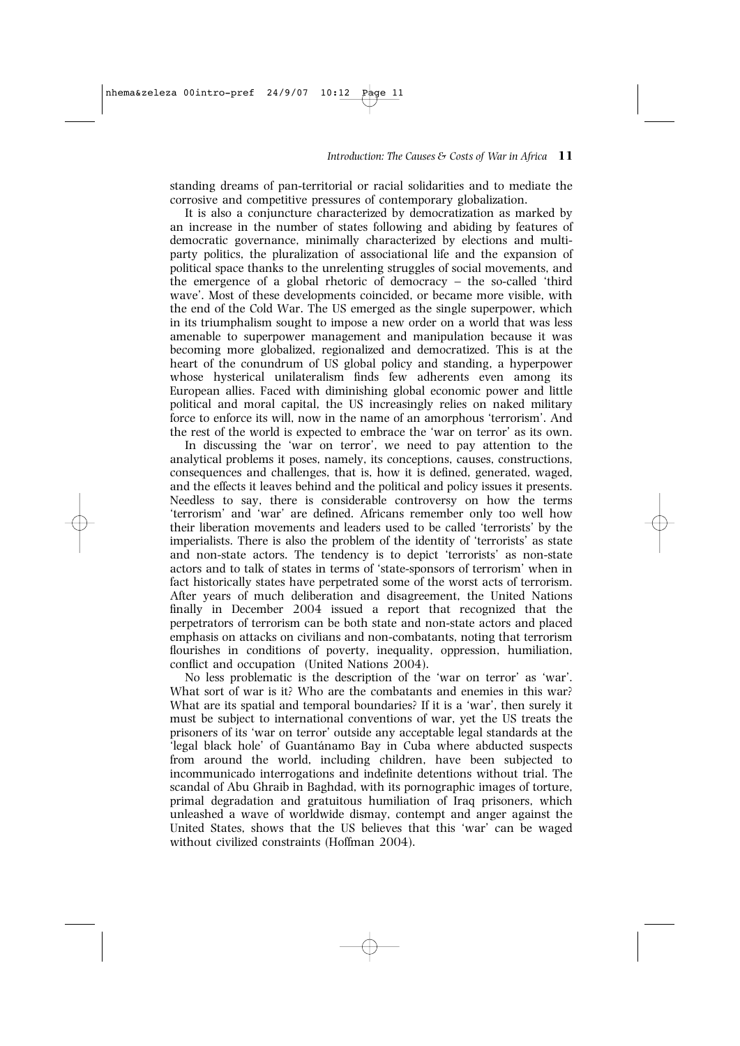standing dreams of pan-territorial or racial solidarities and to mediate the corrosive and competitive pressures of contemporary globalization.

It is also a conjuncture characterized by democratization as marked by an increase in the number of states following and abiding by features of democratic governance, minimally characterized by elections and multiparty politics, the pluralization of associational life and the expansion of political space thanks to the unrelenting struggles of social movements, and the emergence of a global rhetoric of democracy – the so-called 'third wave'. Most of these developments coincided, or became more visible, with the end of the Cold War. The US emerged as the single superpower, which in its triumphalism sought to impose a new order on a world that was less amenable to superpower management and manipulation because it was becoming more globalized, regionalized and democratized. This is at the heart of the conundrum of US global policy and standing, a hyperpower whose hysterical unilateralism finds few adherents even among its European allies. Faced with diminishing global economic power and little political and moral capital, the US increasingly relies on naked military force to enforce its will, now in the name of an amorphous 'terrorism'. And the rest of the world is expected to embrace the 'war on terror' as its own.

In discussing the 'war on terror', we need to pay attention to the analytical problems it poses, namely, its conceptions, causes, constructions, consequences and challenges, that is, how it is defined, generated, waged, and the effects it leaves behind and the political and policy issues it presents. Needless to say, there is considerable controversy on how the terms 'terrorism' and 'war' are defined. Africans remember only too well how their liberation movements and leaders used to be called 'terrorists' by the imperialists. There is also the problem of the identity of 'terrorists' as state and non-state actors. The tendency is to depict 'terrorists' as non-state actors and to talk of states in terms of 'state-sponsors of terrorism' when in fact historically states have perpetrated some of the worst acts of terrorism. After years of much deliberation and disagreement, the United Nations finally in December 2004 issued a report that recognized that the perpetrators of terrorism can be both state and non-state actors and placed emphasis on attacks on civilians and non-combatants, noting that terrorism flourishes in conditions of poverty, inequality, oppression, humiliation, conflict and occupation (United Nations 2004).

No less problematic is the description of the 'war on terror' as 'war'. What sort of war is it? Who are the combatants and enemies in this war? What are its spatial and temporal boundaries? If it is a 'war', then surely it must be subject to international conventions of war, yet the US treats the prisoners of its 'war on terror' outside any acceptable legal standards at the 'legal black hole' of Guantánamo Bay in Cuba where abducted suspects from around the world, including children, have been subjected to incommunicado interrogations and indefinite detentions without trial. The scandal of Abu Ghraib in Baghdad, with its pornographic images of torture, primal degradation and gratuitous humiliation of Iraq prisoners, which unleashed a wave of worldwide dismay, contempt and anger against the United States, shows that the US believes that this 'war' can be waged without civilized constraints (Hoffman 2004).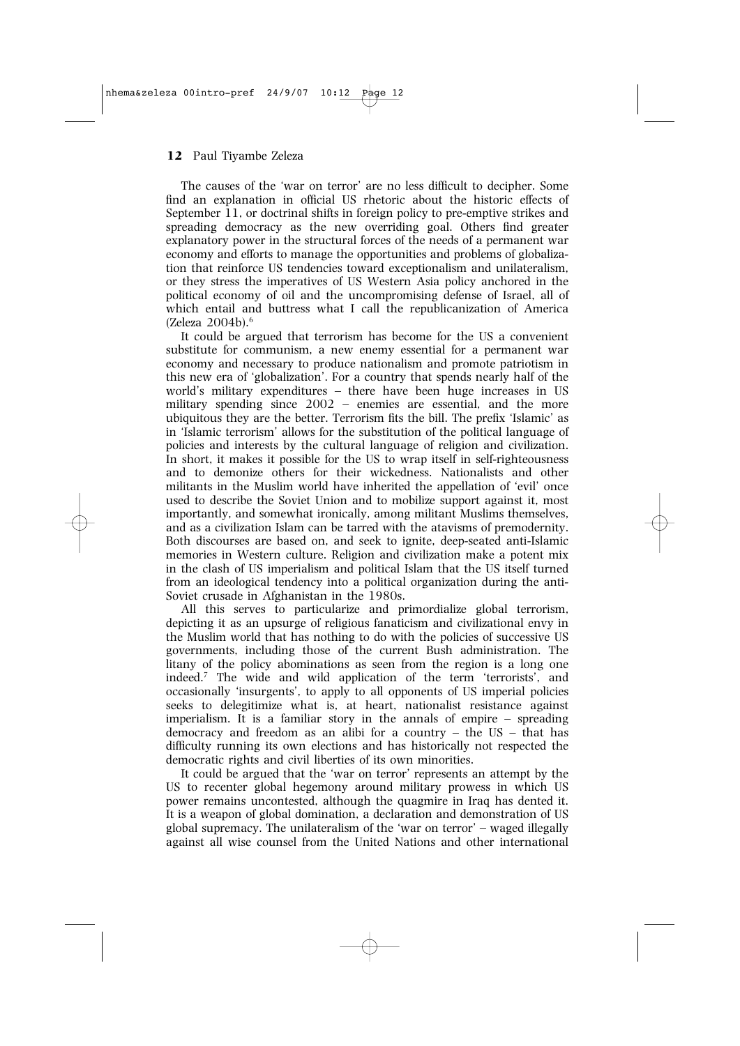The causes of the 'war on terror' are no less difficult to decipher. Some find an explanation in official US rhetoric about the historic effects of September 11, or doctrinal shifts in foreign policy to pre-emptive strikes and spreading democracy as the new overriding goal. Others find greater explanatory power in the structural forces of the needs of a permanent war economy and efforts to manage the opportunities and problems of globalization that reinforce US tendencies toward exceptionalism and unilateralism, or they stress the imperatives of US Western Asia policy anchored in the political economy of oil and the uncompromising defense of Israel, all of which entail and buttress what I call the republicanization of America (Zeleza 2004b).6

It could be argued that terrorism has become for the US a convenient substitute for communism, a new enemy essential for a permanent war economy and necessary to produce nationalism and promote patriotism in this new era of 'globalization'. For a country that spends nearly half of the world's military expenditures – there have been huge increases in US military spending since 2002 – enemies are essential, and the more ubiquitous they are the better. Terrorism fits the bill. The prefix 'Islamic' as in 'Islamic terrorism' allows for the substitution of the political language of policies and interests by the cultural language of religion and civilization. In short, it makes it possible for the US to wrap itself in self-righteousness and to demonize others for their wickedness. Nationalists and other militants in the Muslim world have inherited the appellation of 'evil' once used to describe the Soviet Union and to mobilize support against it, most importantly, and somewhat ironically, among militant Muslims themselves, and as a civilization Islam can be tarred with the atavisms of premodernity. Both discourses are based on, and seek to ignite, deep-seated anti-Islamic memories in Western culture. Religion and civilization make a potent mix in the clash of US imperialism and political Islam that the US itself turned from an ideological tendency into a political organization during the anti-Soviet crusade in Afghanistan in the 1980s.

All this serves to particularize and primordialize global terrorism, depicting it as an upsurge of religious fanaticism and civilizational envy in the Muslim world that has nothing to do with the policies of successive US governments, including those of the current Bush administration. The litany of the policy abominations as seen from the region is a long one indeed.7 The wide and wild application of the term 'terrorists', and occasionally 'insurgents', to apply to all opponents of US imperial policies seeks to delegitimize what is, at heart, nationalist resistance against imperialism. It is a familiar story in the annals of empire – spreading democracy and freedom as an alibi for a country – the US – that has difficulty running its own elections and has historically not respected the democratic rights and civil liberties of its own minorities.

It could be argued that the 'war on terror' represents an attempt by the US to recenter global hegemony around military prowess in which US power remains uncontested, although the quagmire in Iraq has dented it. It is a weapon of global domination, a declaration and demonstration of US global supremacy. The unilateralism of the 'war on terror' – waged illegally against all wise counsel from the United Nations and other international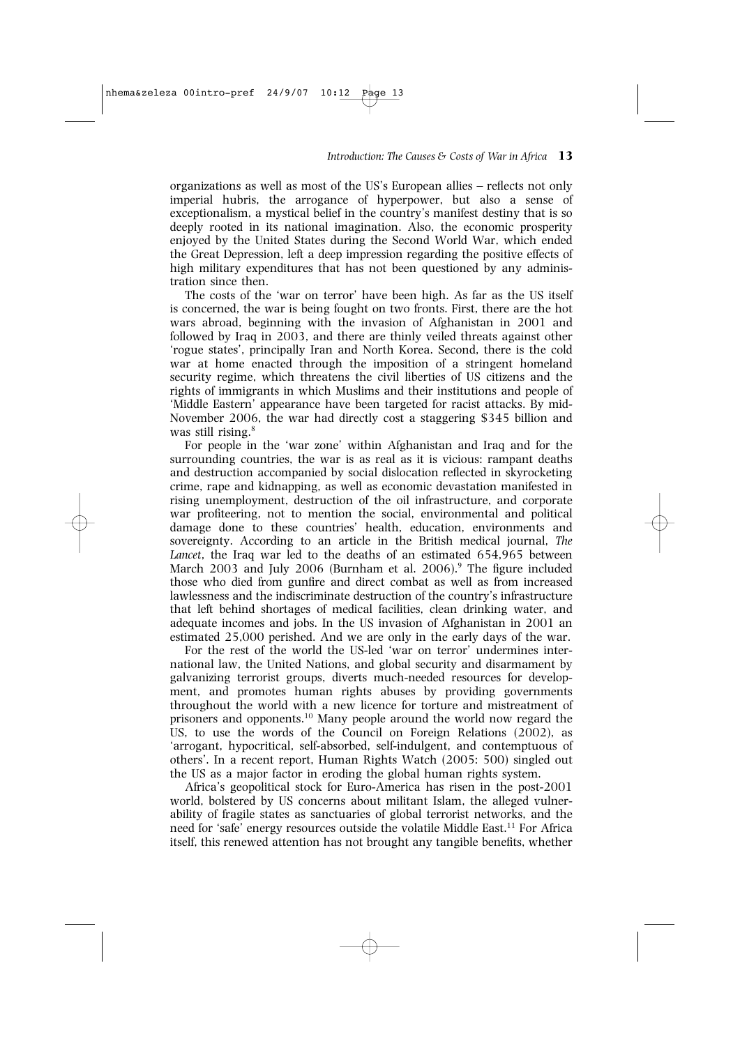organizations as well as most of the US's European allies – reflects not only imperial hubris, the arrogance of hyperpower, but also a sense of exceptionalism, a mystical belief in the country's manifest destiny that is so deeply rooted in its national imagination. Also, the economic prosperity enjoyed by the United States during the Second World War, which ended the Great Depression, left a deep impression regarding the positive effects of high military expenditures that has not been questioned by any administration since then.

The costs of the 'war on terror' have been high. As far as the US itself is concerned, the war is being fought on two fronts. First, there are the hot wars abroad, beginning with the invasion of Afghanistan in 2001 and followed by Iraq in 2003, and there are thinly veiled threats against other 'rogue states', principally Iran and North Korea. Second, there is the cold war at home enacted through the imposition of a stringent homeland security regime, which threatens the civil liberties of US citizens and the rights of immigrants in which Muslims and their institutions and people of 'Middle Eastern' appearance have been targeted for racist attacks. By mid-November 2006, the war had directly cost a staggering \$345 billion and was still rising.<sup>8</sup>

For people in the 'war zone' within Afghanistan and Iraq and for the surrounding countries, the war is as real as it is vicious: rampant deaths and destruction accompanied by social dislocation reflected in skyrocketing crime, rape and kidnapping, as well as economic devastation manifested in rising unemployment, destruction of the oil infrastructure, and corporate war profiteering, not to mention the social, environmental and political damage done to these countries' health, education, environments and sovereignty. According to an article in the British medical journal, *The Lancet*, the Iraq war led to the deaths of an estimated 654,965 between March 2003 and July 2006 (Burnham et al. 2006).<sup>9</sup> The figure included those who died from gunfire and direct combat as well as from increased lawlessness and the indiscriminate destruction of the country's infrastructure that left behind shortages of medical facilities, clean drinking water, and adequate incomes and jobs. In the US invasion of Afghanistan in 2001 an estimated 25,000 perished. And we are only in the early days of the war.

For the rest of the world the US-led 'war on terror' undermines international law, the United Nations, and global security and disarmament by galvanizing terrorist groups, diverts much-needed resources for development, and promotes human rights abuses by providing governments throughout the world with a new licence for torture and mistreatment of prisoners and opponents.10 Many people around the world now regard the US, to use the words of the Council on Foreign Relations (2002), as 'arrogant, hypocritical, self-absorbed, self-indulgent, and contemptuous of others'. In a recent report, Human Rights Watch (2005: 500) singled out the US as a major factor in eroding the global human rights system.

Africa's geopolitical stock for Euro-America has risen in the post-2001 world, bolstered by US concerns about militant Islam, the alleged vulnerability of fragile states as sanctuaries of global terrorist networks, and the need for 'safe' energy resources outside the volatile Middle East.<sup>11</sup> For Africa itself, this renewed attention has not brought any tangible benefits, whether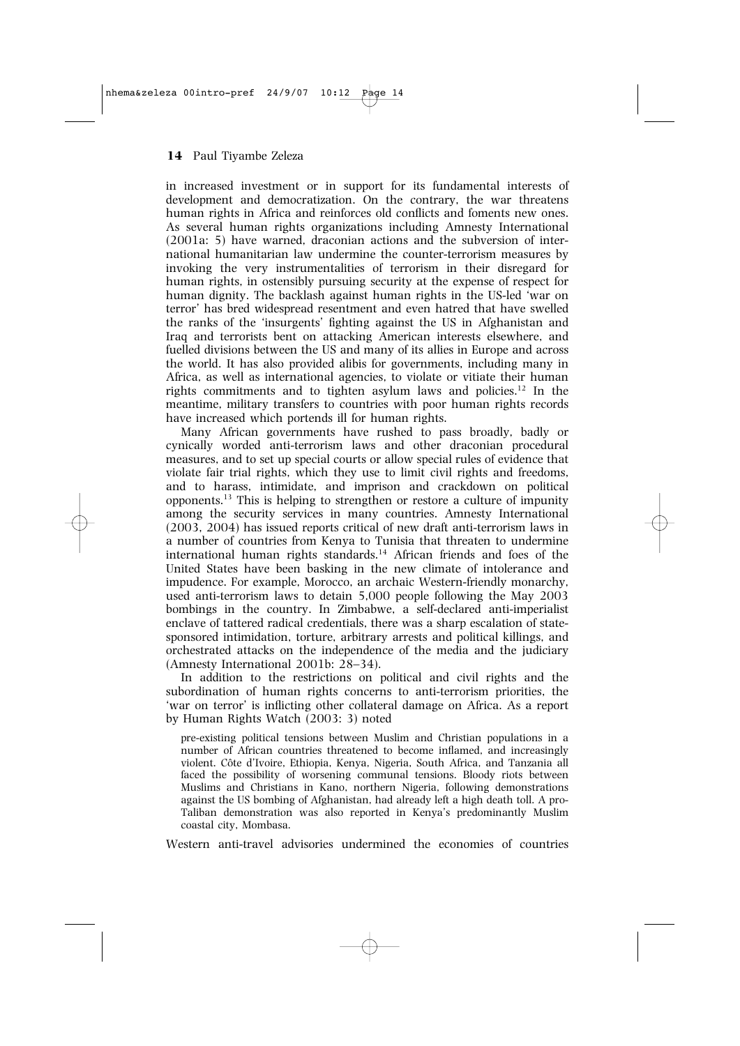in increased investment or in support for its fundamental interests of development and democratization. On the contrary, the war threatens human rights in Africa and reinforces old conflicts and foments new ones. As several human rights organizations including Amnesty International (2001a: 5) have warned, draconian actions and the subversion of international humanitarian law undermine the counter-terrorism measures by invoking the very instrumentalities of terrorism in their disregard for human rights, in ostensibly pursuing security at the expense of respect for human dignity. The backlash against human rights in the US-led 'war on terror' has bred widespread resentment and even hatred that have swelled the ranks of the 'insurgents' fighting against the US in Afghanistan and Iraq and terrorists bent on attacking American interests elsewhere, and fuelled divisions between the US and many of its allies in Europe and across the world. It has also provided alibis for governments, including many in Africa, as well as international agencies, to violate or vitiate their human rights commitments and to tighten asylum laws and policies.12 In the meantime, military transfers to countries with poor human rights records have increased which portends ill for human rights.

Many African governments have rushed to pass broadly, badly or cynically worded anti-terrorism laws and other draconian procedural measures, and to set up special courts or allow special rules of evidence that violate fair trial rights, which they use to limit civil rights and freedoms, and to harass, intimidate, and imprison and crackdown on political opponents.13 This is helping to strengthen or restore a culture of impunity among the security services in many countries. Amnesty International (2003, 2004) has issued reports critical of new draft anti-terrorism laws in a number of countries from Kenya to Tunisia that threaten to undermine international human rights standards.14 African friends and foes of the United States have been basking in the new climate of intolerance and impudence. For example, Morocco, an archaic Western-friendly monarchy, used anti-terrorism laws to detain 5,000 people following the May 2003 bombings in the country. In Zimbabwe, a self-declared anti-imperialist enclave of tattered radical credentials, there was a sharp escalation of statesponsored intimidation, torture, arbitrary arrests and political killings, and orchestrated attacks on the independence of the media and the judiciary (Amnesty International 2001b: 28–34).

In addition to the restrictions on political and civil rights and the subordination of human rights concerns to anti-terrorism priorities, the 'war on terror' is inflicting other collateral damage on Africa. As a report by Human Rights Watch (2003: 3) noted

pre-existing political tensions between Muslim and Christian populations in a number of African countries threatened to become inflamed, and increasingly violent. Côte d'Ivoire, Ethiopia, Kenya, Nigeria, South Africa, and Tanzania all faced the possibility of worsening communal tensions. Bloody riots between Muslims and Christians in Kano, northern Nigeria, following demonstrations against the US bombing of Afghanistan, had already left a high death toll. A pro-Taliban demonstration was also reported in Kenya's predominantly Muslim coastal city, Mombasa.

Western anti-travel advisories undermined the economies of countries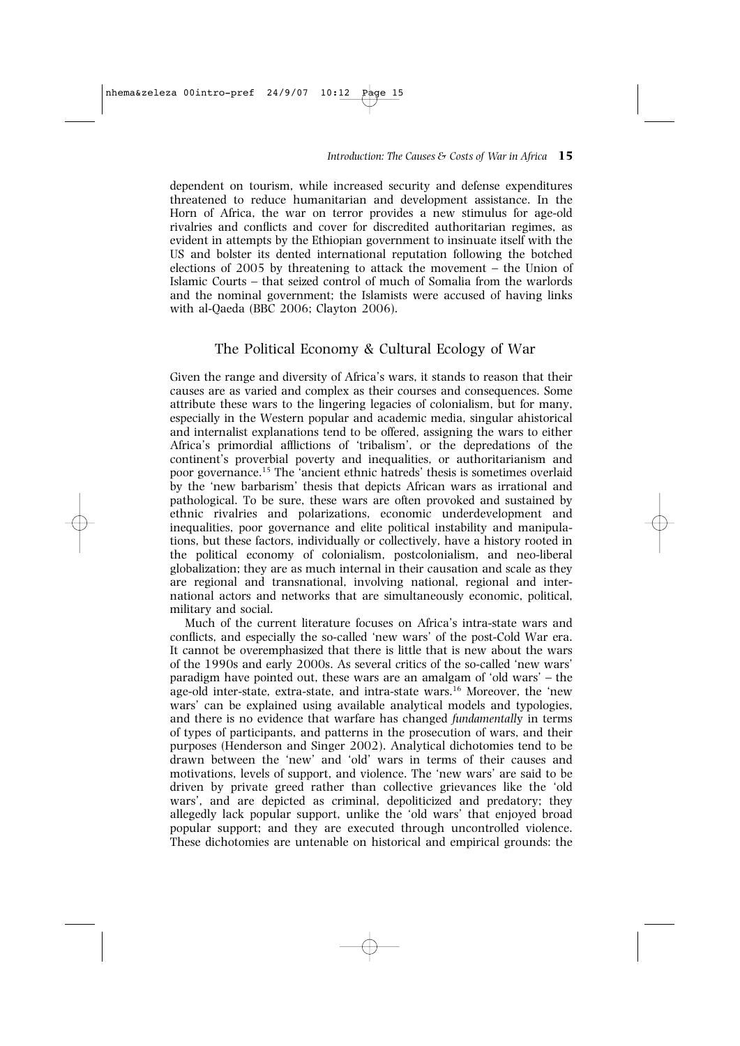dependent on tourism, while increased security and defense expenditures threatened to reduce humanitarian and development assistance. In the Horn of Africa, the war on terror provides a new stimulus for age-old rivalries and conflicts and cover for discredited authoritarian regimes, as evident in attempts by the Ethiopian government to insinuate itself with the US and bolster its dented international reputation following the botched elections of 2005 by threatening to attack the movement – the Union of Islamic Courts – that seized control of much of Somalia from the warlords and the nominal government; the Islamists were accused of having links with al-Qaeda (BBC 2006; Clayton 2006).

## The Political Economy & Cultural Ecology of War

Given the range and diversity of Africa's wars, it stands to reason that their causes are as varied and complex as their courses and consequences. Some attribute these wars to the lingering legacies of colonialism, but for many, especially in the Western popular and academic media, singular ahistorical and internalist explanations tend to be offered, assigning the wars to either Africa's primordial afflictions of 'tribalism', or the depredations of the continent's proverbial poverty and inequalities, or authoritarianism and poor governance.15 The 'ancient ethnic hatreds' thesis is sometimes overlaid by the 'new barbarism' thesis that depicts African wars as irrational and pathological. To be sure, these wars are often provoked and sustained by ethnic rivalries and polarizations, economic underdevelopment and inequalities, poor governance and elite political instability and manipulations, but these factors, individually or collectively, have a history rooted in the political economy of colonialism, postcolonialism, and neo-liberal globalization; they are as much internal in their causation and scale as they are regional and transnational, involving national, regional and international actors and networks that are simultaneously economic, political, military and social.

Much of the current literature focuses on Africa's intra-state wars and conflicts, and especially the so-called 'new wars' of the post-Cold War era. It cannot be overemphasized that there is little that is new about the wars of the 1990s and early 2000s. As several critics of the so-called 'new wars' paradigm have pointed out, these wars are an amalgam of 'old wars' – the age-old inter-state, extra-state, and intra-state wars.<sup>16</sup> Moreover, the 'new wars' can be explained using available analytical models and typologies, and there is no evidence that warfare has changed *fundamentall*y in terms of types of participants, and patterns in the prosecution of wars, and their purposes (Henderson and Singer 2002). Analytical dichotomies tend to be drawn between the 'new' and 'old' wars in terms of their causes and motivations, levels of support, and violence. The 'new wars' are said to be driven by private greed rather than collective grievances like the 'old wars', and are depicted as criminal, depoliticized and predatory; they allegedly lack popular support, unlike the 'old wars' that enjoyed broad popular support; and they are executed through uncontrolled violence. These dichotomies are untenable on historical and empirical grounds: the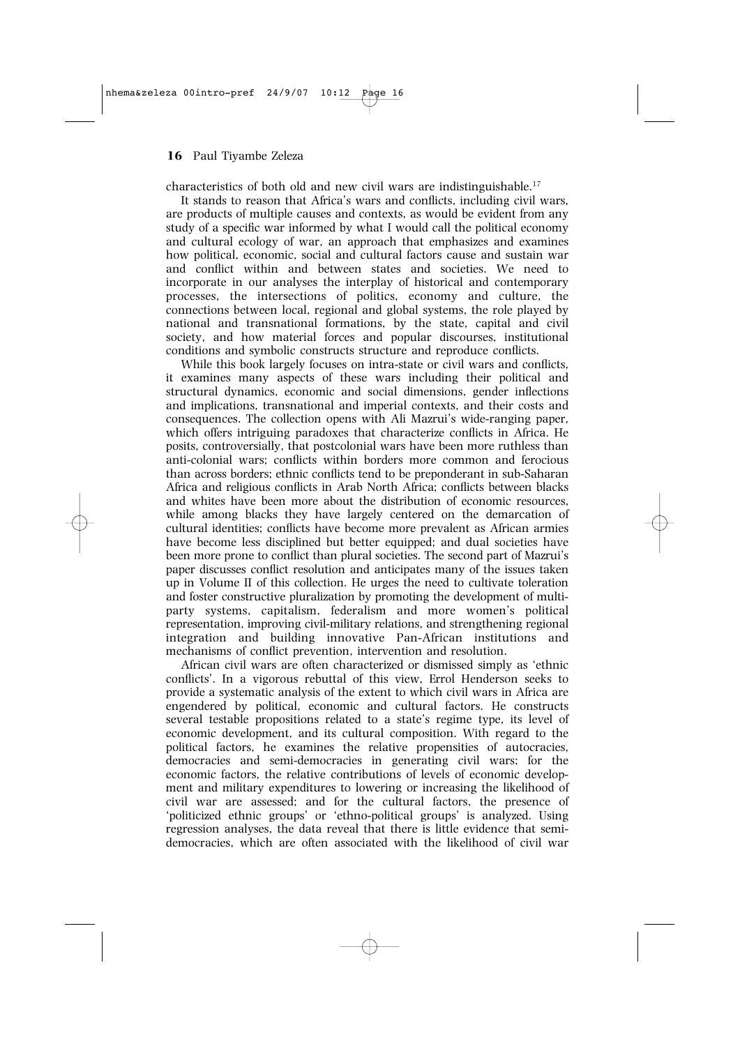characteristics of both old and new civil wars are indistinguishable.<sup>17</sup>

It stands to reason that Africa's wars and conflicts, including civil wars, are products of multiple causes and contexts, as would be evident from any study of a specific war informed by what I would call the political economy and cultural ecology of war, an approach that emphasizes and examines how political, economic, social and cultural factors cause and sustain war and conflict within and between states and societies. We need to incorporate in our analyses the interplay of historical and contemporary processes, the intersections of politics, economy and culture, the connections between local, regional and global systems, the role played by national and transnational formations, by the state, capital and civil society, and how material forces and popular discourses, institutional conditions and symbolic constructs structure and reproduce conflicts.

While this book largely focuses on intra-state or civil wars and conflicts, it examines many aspects of these wars including their political and structural dynamics, economic and social dimensions, gender inflections and implications, transnational and imperial contexts, and their costs and consequences. The collection opens with Ali Mazrui's wide-ranging paper, which offers intriguing paradoxes that characterize conflicts in Africa. He posits, controversially, that postcolonial wars have been more ruthless than anti-colonial wars; conflicts within borders more common and ferocious than across borders; ethnic conflicts tend to be preponderant in sub-Saharan Africa and religious conflicts in Arab North Africa; conflicts between blacks and whites have been more about the distribution of economic resources, while among blacks they have largely centered on the demarcation of cultural identities; conflicts have become more prevalent as African armies have become less disciplined but better equipped; and dual societies have been more prone to conflict than plural societies. The second part of Mazrui's paper discusses conflict resolution and anticipates many of the issues taken up in Volume II of this collection. He urges the need to cultivate toleration and foster constructive pluralization by promoting the development of multiparty systems, capitalism, federalism and more women's political representation, improving civil-military relations, and strengthening regional integration and building innovative Pan-African institutions and mechanisms of conflict prevention, intervention and resolution.

African civil wars are often characterized or dismissed simply as 'ethnic conflicts'. In a vigorous rebuttal of this view, Errol Henderson seeks to provide a systematic analysis of the extent to which civil wars in Africa are engendered by political, economic and cultural factors. He constructs several testable propositions related to a state's regime type, its level of economic development, and its cultural composition. With regard to the political factors, he examines the relative propensities of autocracies, democracies and semi-democracies in generating civil wars; for the economic factors, the relative contributions of levels of economic development and military expenditures to lowering or increasing the likelihood of civil war are assessed; and for the cultural factors, the presence of 'politicized ethnic groups' or 'ethno-political groups' is analyzed. Using regression analyses, the data reveal that there is little evidence that semidemocracies, which are often associated with the likelihood of civil war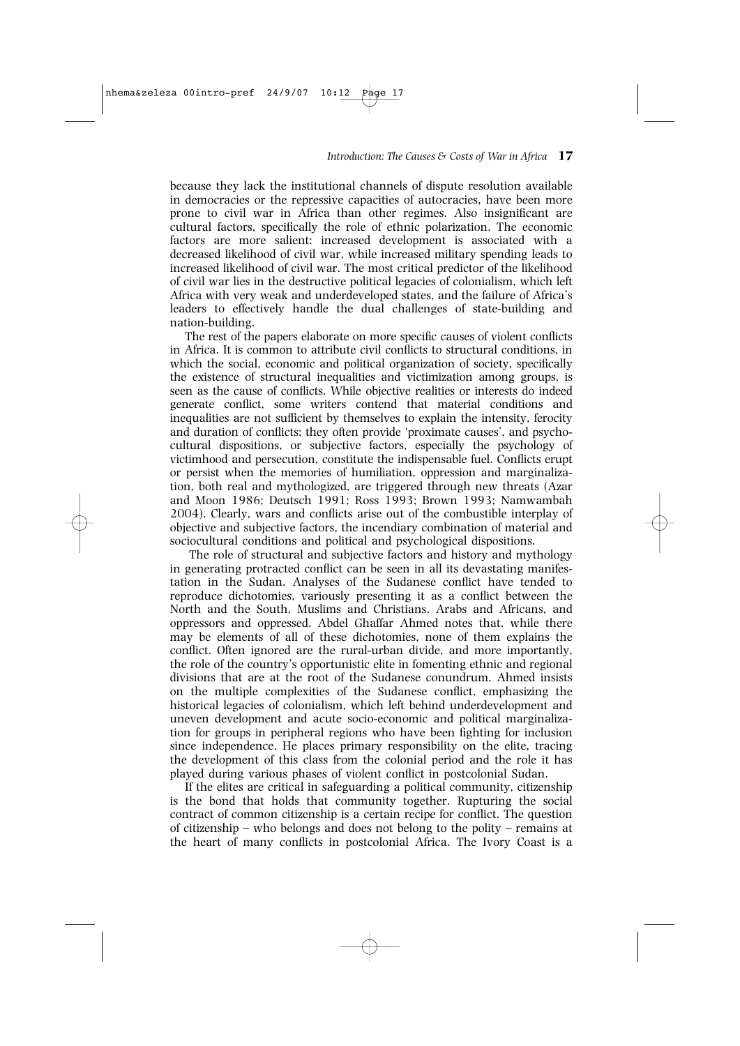because they lack the institutional channels of dispute resolution available in democracies or the repressive capacities of autocracies, have been more prone to civil war in Africa than other regimes. Also insignificant are cultural factors, specifically the role of ethnic polarization. The economic factors are more salient: increased development is associated with a decreased likelihood of civil war, while increased military spending leads to increased likelihood of civil war. The most critical predictor of the likelihood of civil war lies in the destructive political legacies of colonialism, which left Africa with very weak and underdeveloped states, and the failure of Africa's leaders to effectively handle the dual challenges of state-building and nation-building.

The rest of the papers elaborate on more specific causes of violent conflicts in Africa. It is common to attribute civil conflicts to structural conditions, in which the social, economic and political organization of society, specifically the existence of structural inequalities and victimization among groups, is seen as the cause of conflicts. While objective realities or interests do indeed generate conflict, some writers contend that material conditions and inequalities are not sufficient by themselves to explain the intensity, ferocity and duration of conflicts; they often provide 'proximate causes', and psychocultural dispositions, or subjective factors, especially the psychology of victimhood and persecution, constitute the indispensable fuel. Conflicts erupt or persist when the memories of humiliation, oppression and marginalization, both real and mythologized, are triggered through new threats (Azar and Moon 1986; Deutsch 1991; Ross 1993; Brown 1993; Namwambah 2004). Clearly, wars and conflicts arise out of the combustible interplay of objective and subjective factors, the incendiary combination of material and sociocultural conditions and political and psychological dispositions.

The role of structural and subjective factors and history and mythology in generating protracted conflict can be seen in all its devastating manifestation in the Sudan. Analyses of the Sudanese conflict have tended to reproduce dichotomies, variously presenting it as a conflict between the North and the South, Muslims and Christians, Arabs and Africans, and oppressors and oppressed. Abdel Ghaffar Ahmed notes that, while there may be elements of all of these dichotomies, none of them explains the conflict. Often ignored are the rural-urban divide, and more importantly, the role of the country's opportunistic elite in fomenting ethnic and regional divisions that are at the root of the Sudanese conundrum. Ahmed insists on the multiple complexities of the Sudanese conflict, emphasizing the historical legacies of colonialism, which left behind underdevelopment and uneven development and acute socio-economic and political marginalization for groups in peripheral regions who have been fighting for inclusion since independence. He places primary responsibility on the elite, tracing the development of this class from the colonial period and the role it has played during various phases of violent conflict in postcolonial Sudan.

If the elites are critical in safeguarding a political community, citizenship is the bond that holds that community together. Rupturing the social contract of common citizenship is a certain recipe for conflict. The question of citizenship – who belongs and does not belong to the polity – remains at the heart of many conflicts in postcolonial Africa. The Ivory Coast is a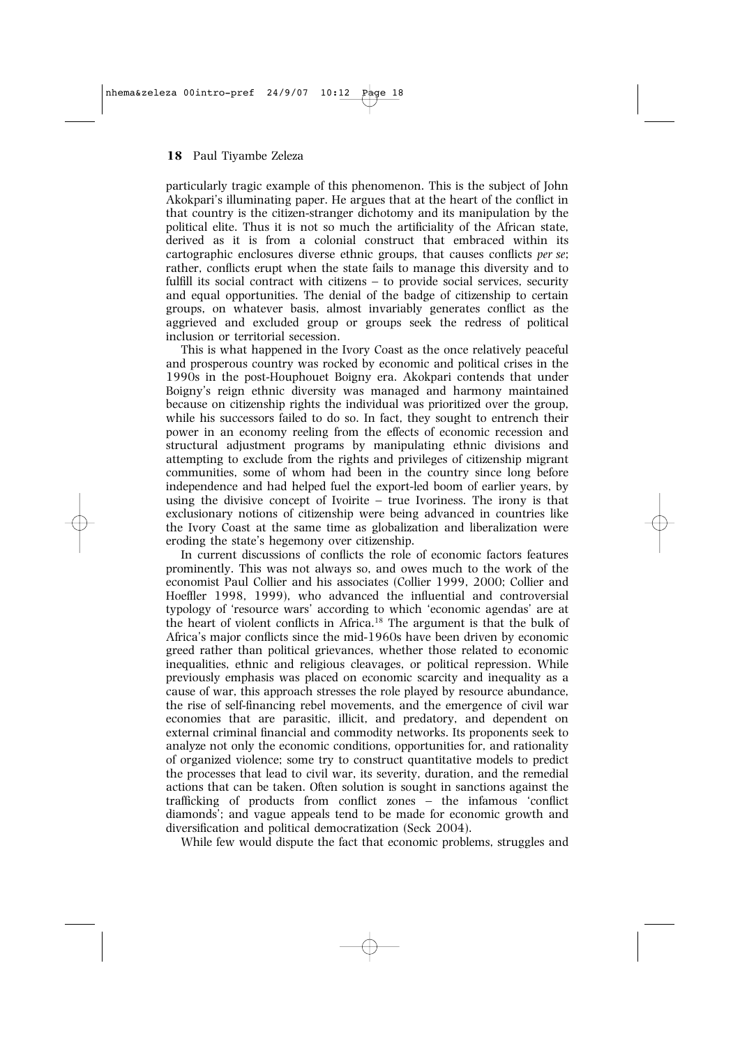particularly tragic example of this phenomenon. This is the subject of John Akokpari's illuminating paper. He argues that at the heart of the conflict in that country is the citizen-stranger dichotomy and its manipulation by the political elite. Thus it is not so much the artificiality of the African state, derived as it is from a colonial construct that embraced within its cartographic enclosures diverse ethnic groups, that causes conflicts *per se*; rather, conflicts erupt when the state fails to manage this diversity and to fulfill its social contract with citizens – to provide social services, security and equal opportunities. The denial of the badge of citizenship to certain groups, on whatever basis, almost invariably generates conflict as the aggrieved and excluded group or groups seek the redress of political inclusion or territorial secession.

This is what happened in the Ivory Coast as the once relatively peaceful and prosperous country was rocked by economic and political crises in the 1990s in the post-Houphouet Boigny era. Akokpari contends that under Boigny's reign ethnic diversity was managed and harmony maintained because on citizenship rights the individual was prioritized over the group, while his successors failed to do so. In fact, they sought to entrench their power in an economy reeling from the effects of economic recession and structural adjustment programs by manipulating ethnic divisions and attempting to exclude from the rights and privileges of citizenship migrant communities, some of whom had been in the country since long before independence and had helped fuel the export-led boom of earlier years, by using the divisive concept of Ivoirite – true Ivoriness. The irony is that exclusionary notions of citizenship were being advanced in countries like the Ivory Coast at the same time as globalization and liberalization were eroding the state's hegemony over citizenship.

In current discussions of conflicts the role of economic factors features prominently. This was not always so, and owes much to the work of the economist Paul Collier and his associates (Collier 1999, 2000; Collier and Hoeffler 1998, 1999), who advanced the influential and controversial typology of 'resource wars' according to which 'economic agendas' are at the heart of violent conflicts in Africa.<sup>18</sup> The argument is that the bulk of Africa's major conflicts since the mid-1960s have been driven by economic greed rather than political grievances, whether those related to economic inequalities, ethnic and religious cleavages, or political repression. While previously emphasis was placed on economic scarcity and inequality as a cause of war, this approach stresses the role played by resource abundance, the rise of self-financing rebel movements, and the emergence of civil war economies that are parasitic, illicit, and predatory, and dependent on external criminal financial and commodity networks. Its proponents seek to analyze not only the economic conditions, opportunities for, and rationality of organized violence; some try to construct quantitative models to predict the processes that lead to civil war, its severity, duration, and the remedial actions that can be taken. Often solution is sought in sanctions against the trafficking of products from conflict zones – the infamous 'conflict diamonds'; and vague appeals tend to be made for economic growth and diversification and political democratization (Seck 2004).

While few would dispute the fact that economic problems, struggles and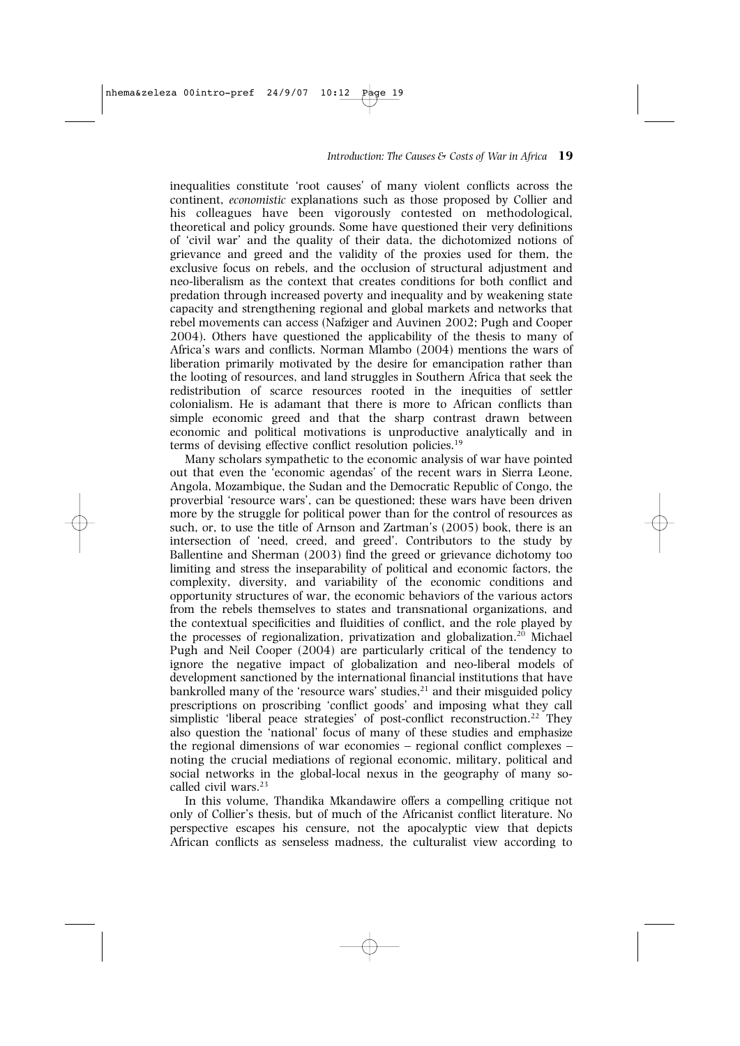inequalities constitute 'root causes' of many violent conflicts across the continent, *economistic* explanations such as those proposed by Collier and his colleagues have been vigorously contested on methodological, theoretical and policy grounds. Some have questioned their very definitions of 'civil war' and the quality of their data, the dichotomized notions of grievance and greed and the validity of the proxies used for them, the exclusive focus on rebels, and the occlusion of structural adjustment and neo-liberalism as the context that creates conditions for both conflict and predation through increased poverty and inequality and by weakening state capacity and strengthening regional and global markets and networks that rebel movements can access (Nafziger and Auvinen 2002; Pugh and Cooper 2004). Others have questioned the applicability of the thesis to many of Africa's wars and conflicts. Norman Mlambo (2004) mentions the wars of liberation primarily motivated by the desire for emancipation rather than the looting of resources, and land struggles in Southern Africa that seek the redistribution of scarce resources rooted in the inequities of settler colonialism. He is adamant that there is more to African conflicts than simple economic greed and that the sharp contrast drawn between economic and political motivations is unproductive analytically and in terms of devising effective conflict resolution policies.19

Many scholars sympathetic to the economic analysis of war have pointed out that even the 'economic agendas' of the recent wars in Sierra Leone, Angola, Mozambique, the Sudan and the Democratic Republic of Congo, the proverbial 'resource wars', can be questioned; these wars have been driven more by the struggle for political power than for the control of resources as such, or, to use the title of Arnson and Zartman's (2005) book, there is an intersection of 'need, creed, and greed'. Contributors to the study by Ballentine and Sherman (2003) find the greed or grievance dichotomy too limiting and stress the inseparability of political and economic factors, the complexity, diversity, and variability of the economic conditions and opportunity structures of war, the economic behaviors of the various actors from the rebels themselves to states and transnational organizations, and the contextual specificities and fluidities of conflict, and the role played by the processes of regionalization, privatization and globalization.<sup>20</sup> Michael Pugh and Neil Cooper (2004) are particularly critical of the tendency to ignore the negative impact of globalization and neo-liberal models of development sanctioned by the international financial institutions that have bankrolled many of the 'resource wars' studies, $21$  and their misguided policy prescriptions on proscribing 'conflict goods' and imposing what they call simplistic 'liberal peace strategies' of post-conflict reconstruction.<sup>22</sup> They also question the 'national' focus of many of these studies and emphasize the regional dimensions of war economies – regional conflict complexes – noting the crucial mediations of regional economic, military, political and social networks in the global-local nexus in the geography of many socalled civil wars.23

In this volume, Thandika Mkandawire offers a compelling critique not only of Collier's thesis, but of much of the Africanist conflict literature. No perspective escapes his censure, not the apocalyptic view that depicts African conflicts as senseless madness, the culturalist view according to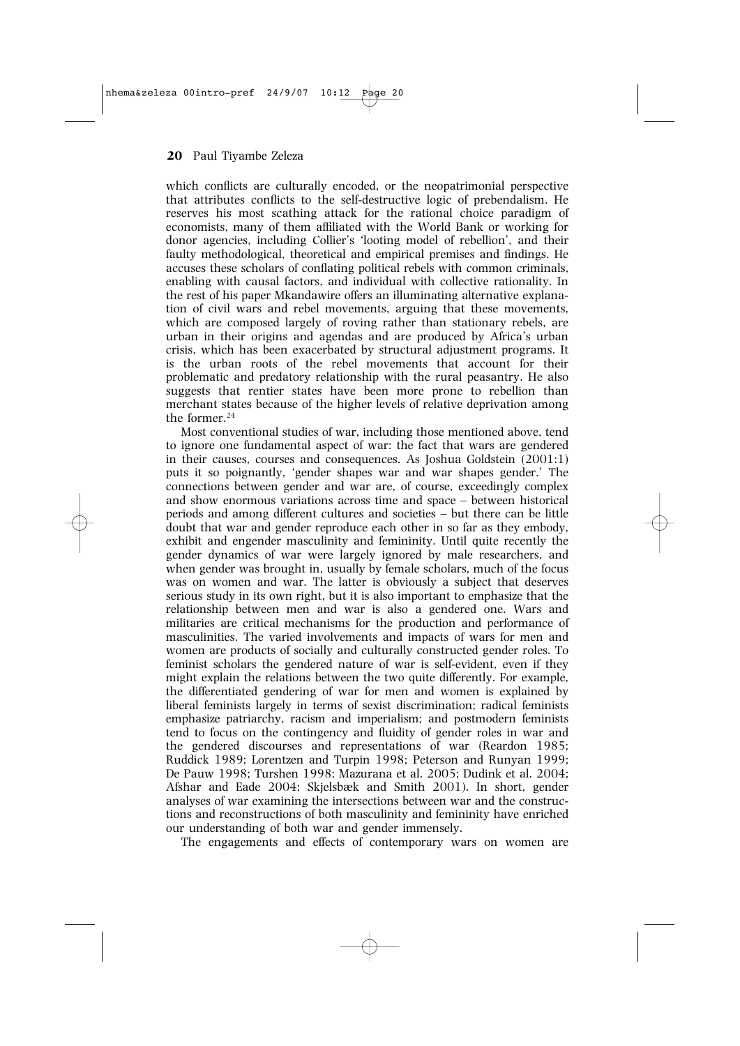which conflicts are culturally encoded, or the neopatrimonial perspective that attributes conflicts to the self-destructive logic of prebendalism. He reserves his most scathing attack for the rational choice paradigm of economists, many of them affiliated with the World Bank or working for donor agencies, including Collier's 'looting model of rebellion', and their faulty methodological, theoretical and empirical premises and findings. He accuses these scholars of conflating political rebels with common criminals, enabling with causal factors, and individual with collective rationality. In the rest of his paper Mkandawire offers an illuminating alternative explanation of civil wars and rebel movements, arguing that these movements, which are composed largely of roving rather than stationary rebels, are urban in their origins and agendas and are produced by Africa's urban crisis, which has been exacerbated by structural adjustment programs. It is the urban roots of the rebel movements that account for their problematic and predatory relationship with the rural peasantry. He also suggests that rentier states have been more prone to rebellion than merchant states because of the higher levels of relative deprivation among the former. $24$ 

Most conventional studies of war, including those mentioned above, tend to ignore one fundamental aspect of war: the fact that wars are gendered in their causes, courses and consequences. As Joshua Goldstein (2001:1) puts it so poignantly, 'gender shapes war and war shapes gender.' The connections between gender and war are, of course, exceedingly complex and show enormous variations across time and space – between historical periods and among different cultures and societies – but there can be little doubt that war and gender reproduce each other in so far as they embody, exhibit and engender masculinity and femininity. Until quite recently the gender dynamics of war were largely ignored by male researchers, and when gender was brought in, usually by female scholars, much of the focus was on women and war. The latter is obviously a subject that deserves serious study in its own right, but it is also important to emphasize that the relationship between men and war is also a gendered one. Wars and militaries are critical mechanisms for the production and performance of masculinities. The varied involvements and impacts of wars for men and women are products of socially and culturally constructed gender roles. To feminist scholars the gendered nature of war is self-evident, even if they might explain the relations between the two quite differently. For example, the differentiated gendering of war for men and women is explained by liberal feminists largely in terms of sexist discrimination; radical feminists emphasize patriarchy, racism and imperialism; and postmodern feminists tend to focus on the contingency and fluidity of gender roles in war and the gendered discourses and representations of war (Reardon 1985; Ruddick 1989; Lorentzen and Turpin 1998; Peterson and Runyan 1999; De Pauw 1998; Turshen 1998; Mazurana et al. 2005; Dudink et al. 2004; Afshar and Eade 2004; Skjelsbæk and Smith 2001). In short, gender analyses of war examining the intersections between war and the constructions and reconstructions of both masculinity and femininity have enriched our understanding of both war and gender immensely.

The engagements and effects of contemporary wars on women are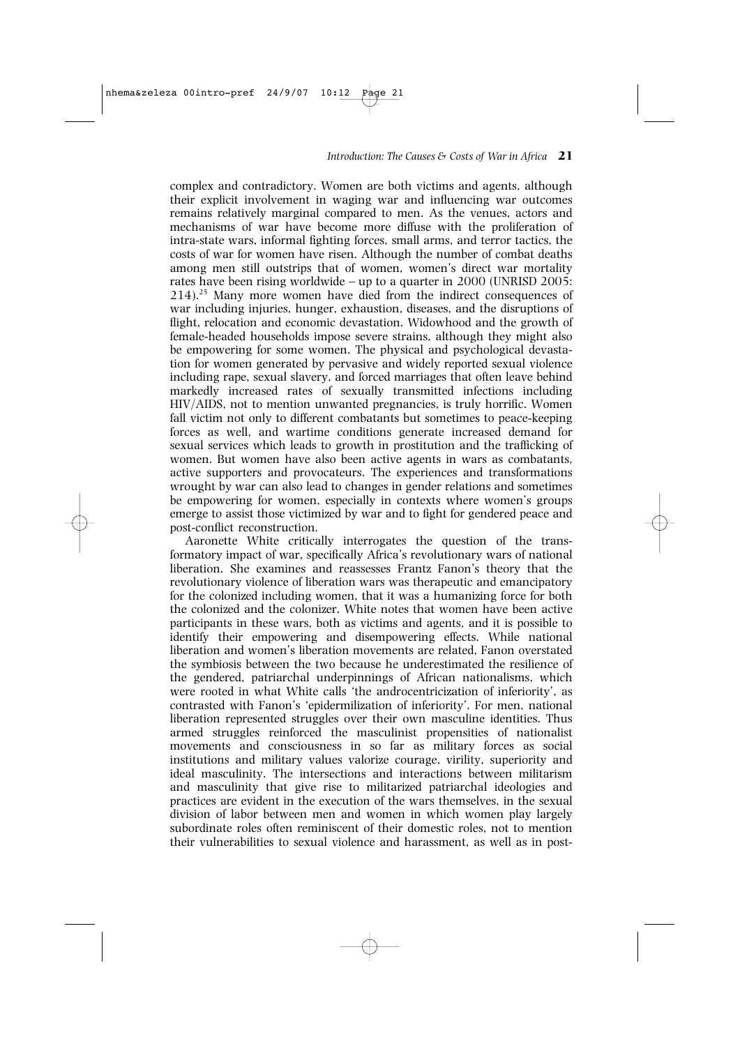complex and contradictory. Women are both victims and agents, although their explicit involvement in waging war and influencing war outcomes remains relatively marginal compared to men. As the venues, actors and mechanisms of war have become more diffuse with the proliferation of intra-state wars, informal fighting forces, small arms, and terror tactics, the costs of war for women have risen. Although the number of combat deaths among men still outstrips that of women, women's direct war mortality rates have been rising worldwide – up to a quarter in 2000 (UNRISD 2005: 214).25 Many more women have died from the indirect consequences of war including injuries, hunger, exhaustion, diseases, and the disruptions of flight, relocation and economic devastation. Widowhood and the growth of female-headed households impose severe strains, although they might also be empowering for some women. The physical and psychological devastation for women generated by pervasive and widely reported sexual violence including rape, sexual slavery, and forced marriages that often leave behind markedly increased rates of sexually transmitted infections including HIV/AIDS, not to mention unwanted pregnancies, is truly horrific. Women fall victim not only to different combatants but sometimes to peace-keeping forces as well, and wartime conditions generate increased demand for sexual services which leads to growth in prostitution and the trafficking of women. But women have also been active agents in wars as combatants, active supporters and provocateurs. The experiences and transformations wrought by war can also lead to changes in gender relations and sometimes be empowering for women, especially in contexts where women's groups emerge to assist those victimized by war and to fight for gendered peace and post-conflict reconstruction.

Aaronette White critically interrogates the question of the transformatory impact of war, specifically Africa's revolutionary wars of national liberation. She examines and reassesses Frantz Fanon's theory that the revolutionary violence of liberation wars was therapeutic and emancipatory for the colonized including women, that it was a humanizing force for both the colonized and the colonizer. White notes that women have been active participants in these wars, both as victims and agents, and it is possible to identify their empowering and disempowering effects. While national liberation and women's liberation movements are related, Fanon overstated the symbiosis between the two because he underestimated the resilience of the gendered, patriarchal underpinnings of African nationalisms, which were rooted in what White calls 'the androcentricization of inferiority', as contrasted with Fanon's 'epidermilization of inferiority'. For men, national liberation represented struggles over their own masculine identities. Thus armed struggles reinforced the masculinist propensities of nationalist movements and consciousness in so far as military forces as social institutions and military values valorize courage, virility, superiority and ideal masculinity. The intersections and interactions between militarism and masculinity that give rise to militarized patriarchal ideologies and practices are evident in the execution of the wars themselves, in the sexual division of labor between men and women in which women play largely subordinate roles often reminiscent of their domestic roles, not to mention their vulnerabilities to sexual violence and harassment, as well as in post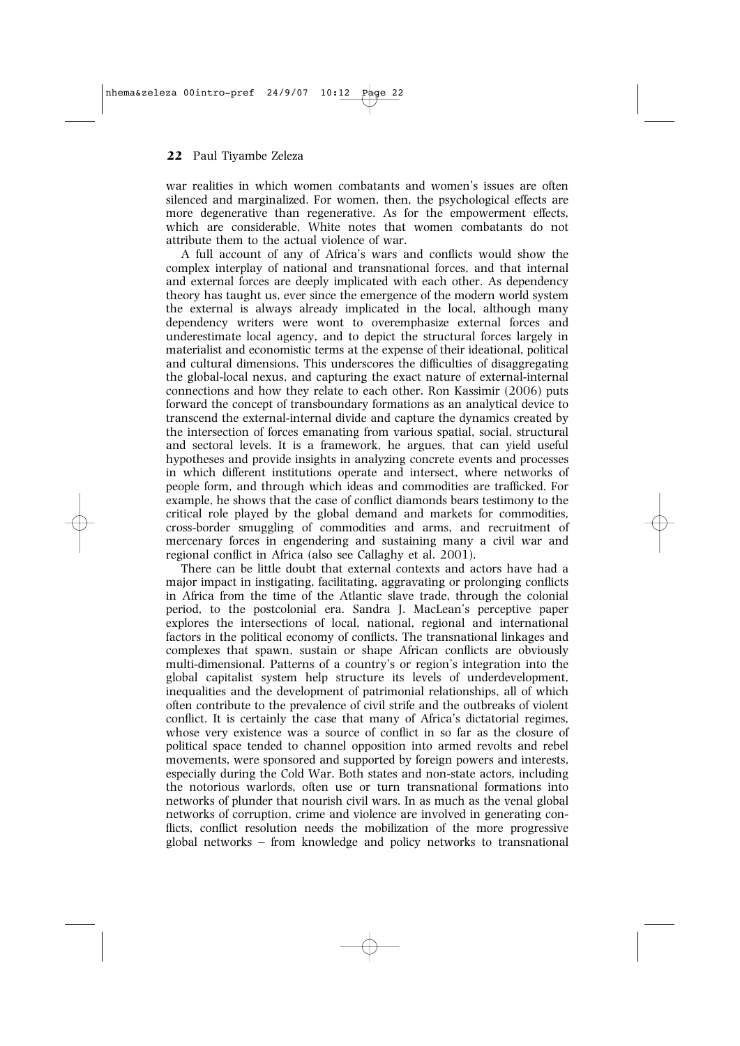war realities in which women combatants and women's issues are often silenced and marginalized. For women, then, the psychological effects are more degenerative than regenerative. As for the empowerment effects, which are considerable, White notes that women combatants do not attribute them to the actual violence of war.

A full account of any of Africa's wars and conflicts would show the complex interplay of national and transnational forces, and that internal and external forces are deeply implicated with each other. As dependency theory has taught us, ever since the emergence of the modern world system the external is always already implicated in the local, although many dependency writers were wont to overemphasize external forces and underestimate local agency, and to depict the structural forces largely in materialist and economistic terms at the expense of their ideational, political and cultural dimensions. This underscores the difficulties of disaggregating the global-local nexus, and capturing the exact nature of external-internal connections and how they relate to each other. Ron Kassimir (2006) puts forward the concept of transboundary formations as an analytical device to transcend the external-internal divide and capture the dynamics created by the intersection of forces emanating from various spatial, social, structural and sectoral levels. It is a framework, he argues, that can yield useful hypotheses and provide insights in analyzing concrete events and processes in which different institutions operate and intersect, where networks of people form, and through which ideas and commodities are trafficked. For example, he shows that the case of conflict diamonds bears testimony to the critical role played by the global demand and markets for commodities, cross-border smuggling of commodities and arms, and recruitment of mercenary forces in engendering and sustaining many a civil war and regional conflict in Africa (also see Callaghy et al. 2001).

There can be little doubt that external contexts and actors have had a major impact in instigating, facilitating, aggravating or prolonging conflicts in Africa from the time of the Atlantic slave trade, through the colonial period, to the postcolonial era. Sandra J. MacLean's perceptive paper explores the intersections of local, national, regional and international factors in the political economy of conflicts. The transnational linkages and complexes that spawn, sustain or shape African conflicts are obviously multi-dimensional. Patterns of a country's or region's integration into the global capitalist system help structure its levels of underdevelopment, inequalities and the development of patrimonial relationships, all of which often contribute to the prevalence of civil strife and the outbreaks of violent conflict. It is certainly the case that many of Africa's dictatorial regimes, whose very existence was a source of conflict in so far as the closure of political space tended to channel opposition into armed revolts and rebel movements, were sponsored and supported by foreign powers and interests, especially during the Cold War. Both states and non-state actors, including the notorious warlords, often use or turn transnational formations into networks of plunder that nourish civil wars. In as much as the venal global networks of corruption, crime and violence are involved in generating conflicts, conflict resolution needs the mobilization of the more progressive global networks – from knowledge and policy networks to transnational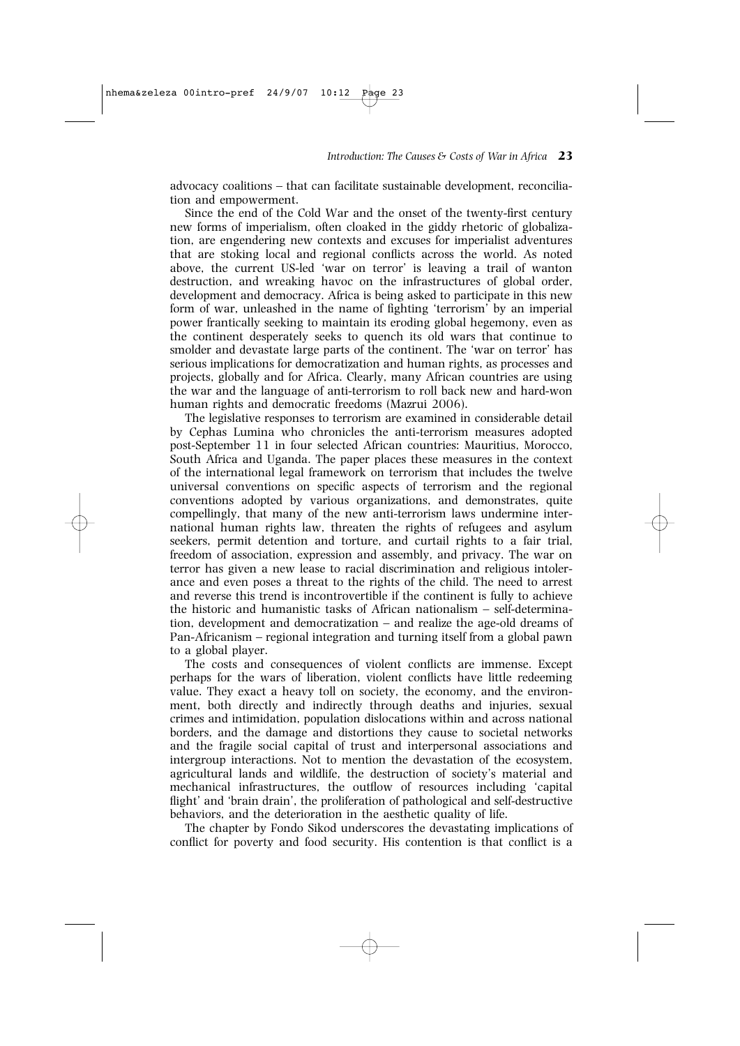advocacy coalitions – that can facilitate sustainable development, reconciliation and empowerment.

Since the end of the Cold War and the onset of the twenty-first century new forms of imperialism, often cloaked in the giddy rhetoric of globalization, are engendering new contexts and excuses for imperialist adventures that are stoking local and regional conflicts across the world. As noted above, the current US-led 'war on terror' is leaving a trail of wanton destruction, and wreaking havoc on the infrastructures of global order, development and democracy. Africa is being asked to participate in this new form of war, unleashed in the name of fighting 'terrorism' by an imperial power frantically seeking to maintain its eroding global hegemony, even as the continent desperately seeks to quench its old wars that continue to smolder and devastate large parts of the continent. The 'war on terror' has serious implications for democratization and human rights, as processes and projects, globally and for Africa. Clearly, many African countries are using the war and the language of anti-terrorism to roll back new and hard-won human rights and democratic freedoms (Mazrui 2006).

The legislative responses to terrorism are examined in considerable detail by Cephas Lumina who chronicles the anti-terrorism measures adopted post-September 11 in four selected African countries: Mauritius, Morocco, South Africa and Uganda. The paper places these measures in the context of the international legal framework on terrorism that includes the twelve universal conventions on specific aspects of terrorism and the regional conventions adopted by various organizations, and demonstrates, quite compellingly, that many of the new anti-terrorism laws undermine international human rights law, threaten the rights of refugees and asylum seekers, permit detention and torture, and curtail rights to a fair trial, freedom of association, expression and assembly, and privacy. The war on terror has given a new lease to racial discrimination and religious intolerance and even poses a threat to the rights of the child. The need to arrest and reverse this trend is incontrovertible if the continent is fully to achieve the historic and humanistic tasks of African nationalism – self-determination, development and democratization – and realize the age-old dreams of Pan-Africanism – regional integration and turning itself from a global pawn to a global player.

The costs and consequences of violent conflicts are immense. Except perhaps for the wars of liberation, violent conflicts have little redeeming value. They exact a heavy toll on society, the economy, and the environment, both directly and indirectly through deaths and injuries, sexual crimes and intimidation, population dislocations within and across national borders, and the damage and distortions they cause to societal networks and the fragile social capital of trust and interpersonal associations and intergroup interactions. Not to mention the devastation of the ecosystem, agricultural lands and wildlife, the destruction of society's material and mechanical infrastructures, the outflow of resources including 'capital flight' and 'brain drain', the proliferation of pathological and self-destructive behaviors, and the deterioration in the aesthetic quality of life.

The chapter by Fondo Sikod underscores the devastating implications of conflict for poverty and food security. His contention is that conflict is a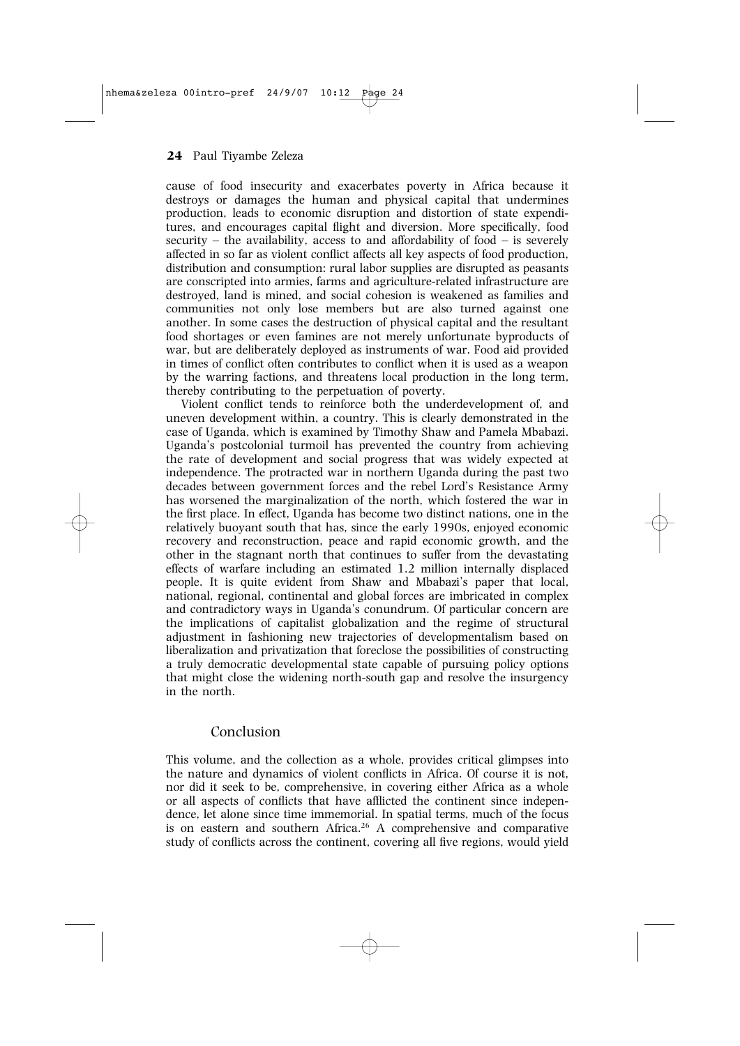cause of food insecurity and exacerbates poverty in Africa because it destroys or damages the human and physical capital that undermines production, leads to economic disruption and distortion of state expenditures, and encourages capital flight and diversion. More specifically, food security – the availability, access to and affordability of food – is severely affected in so far as violent conflict affects all key aspects of food production, distribution and consumption: rural labor supplies are disrupted as peasants are conscripted into armies, farms and agriculture-related infrastructure are destroyed, land is mined, and social cohesion is weakened as families and communities not only lose members but are also turned against one another. In some cases the destruction of physical capital and the resultant food shortages or even famines are not merely unfortunate byproducts of war, but are deliberately deployed as instruments of war. Food aid provided in times of conflict often contributes to conflict when it is used as a weapon by the warring factions, and threatens local production in the long term, thereby contributing to the perpetuation of poverty.

Violent conflict tends to reinforce both the underdevelopment of, and uneven development within, a country. This is clearly demonstrated in the case of Uganda, which is examined by Timothy Shaw and Pamela Mbabazi. Uganda's postcolonial turmoil has prevented the country from achieving the rate of development and social progress that was widely expected at independence. The protracted war in northern Uganda during the past two decades between government forces and the rebel Lord's Resistance Army has worsened the marginalization of the north, which fostered the war in the first place. In effect, Uganda has become two distinct nations, one in the relatively buoyant south that has, since the early 1990s, enjoyed economic recovery and reconstruction, peace and rapid economic growth, and the other in the stagnant north that continues to suffer from the devastating effects of warfare including an estimated 1.2 million internally displaced people. It is quite evident from Shaw and Mbabazi's paper that local, national, regional, continental and global forces are imbricated in complex and contradictory ways in Uganda's conundrum. Of particular concern are the implications of capitalist globalization and the regime of structural adjustment in fashioning new trajectories of developmentalism based on liberalization and privatization that foreclose the possibilities of constructing a truly democratic developmental state capable of pursuing policy options that might close the widening north-south gap and resolve the insurgency in the north.

### Conclusion

This volume, and the collection as a whole, provides critical glimpses into the nature and dynamics of violent conflicts in Africa. Of course it is not, nor did it seek to be, comprehensive, in covering either Africa as a whole or all aspects of conflicts that have afflicted the continent since independence, let alone since time immemorial. In spatial terms, much of the focus is on eastern and southern Africa.<sup>26</sup> A comprehensive and comparative study of conflicts across the continent, covering all five regions, would yield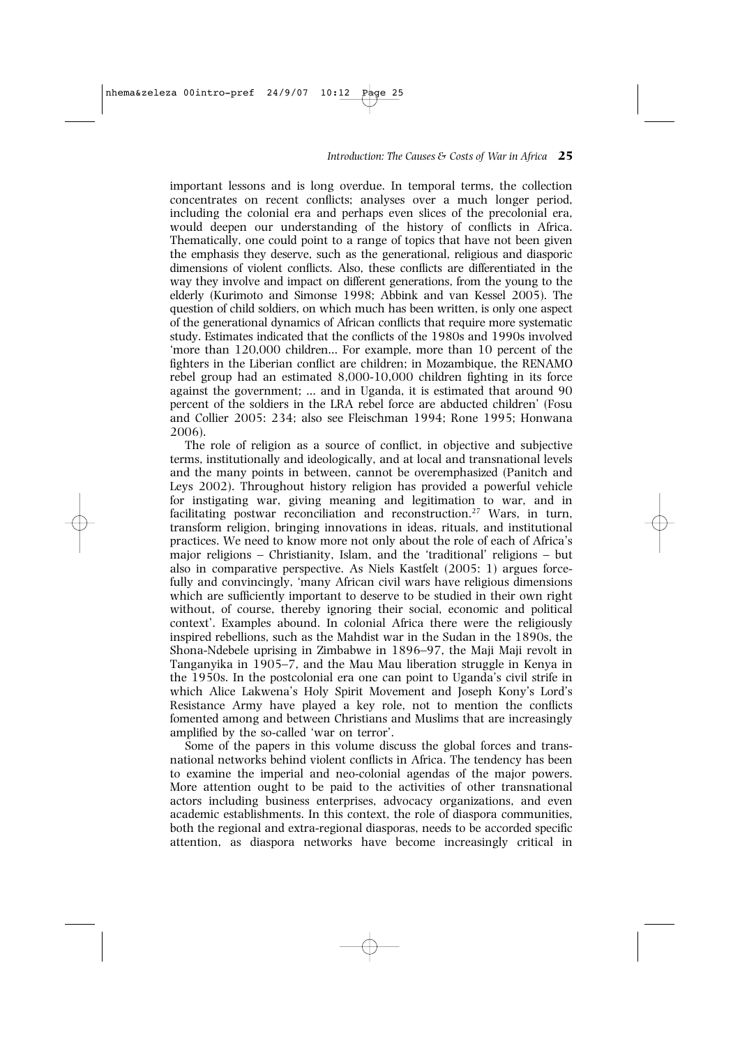important lessons and is long overdue. In temporal terms, the collection concentrates on recent conflicts; analyses over a much longer period, including the colonial era and perhaps even slices of the precolonial era, would deepen our understanding of the history of conflicts in Africa. Thematically, one could point to a range of topics that have not been given the emphasis they deserve, such as the generational, religious and diasporic dimensions of violent conflicts. Also, these conflicts are differentiated in the way they involve and impact on different generations, from the young to the elderly (Kurimoto and Simonse 1998; Abbink and van Kessel 2005). The question of child soldiers, on which much has been written, is only one aspect of the generational dynamics of African conflicts that require more systematic study. Estimates indicated that the conflicts of the 1980s and 1990s involved 'more than 120,000 children… For example, more than 10 percent of the fighters in the Liberian conflict are children; in Mozambique, the RENAMO rebel group had an estimated 8,000-10,000 children fighting in its force against the government; … and in Uganda, it is estimated that around 90 percent of the soldiers in the LRA rebel force are abducted children' (Fosu and Collier 2005: 234; also see Fleischman 1994; Rone 1995; Honwana 2006).

The role of religion as a source of conflict, in objective and subjective terms, institutionally and ideologically, and at local and transnational levels and the many points in between, cannot be overemphasized (Panitch and Leys 2002). Throughout history religion has provided a powerful vehicle for instigating war, giving meaning and legitimation to war, and in facilitating postwar reconciliation and reconstruction.<sup>27</sup> Wars, in turn, transform religion, bringing innovations in ideas, rituals, and institutional practices. We need to know more not only about the role of each of Africa's major religions – Christianity, Islam, and the 'traditional' religions – but also in comparative perspective. As Niels Kastfelt (2005: 1) argues forcefully and convincingly, 'many African civil wars have religious dimensions which are sufficiently important to deserve to be studied in their own right without, of course, thereby ignoring their social, economic and political context'. Examples abound. In colonial Africa there were the religiously inspired rebellions, such as the Mahdist war in the Sudan in the 1890s, the Shona-Ndebele uprising in Zimbabwe in 1896–97, the Maji Maji revolt in Tanganyika in 1905–7, and the Mau Mau liberation struggle in Kenya in the 1950s. In the postcolonial era one can point to Uganda's civil strife in which Alice Lakwena's Holy Spirit Movement and Joseph Kony's Lord's Resistance Army have played a key role, not to mention the conflicts fomented among and between Christians and Muslims that are increasingly amplified by the so-called 'war on terror'.

Some of the papers in this volume discuss the global forces and transnational networks behind violent conflicts in Africa. The tendency has been to examine the imperial and neo-colonial agendas of the major powers. More attention ought to be paid to the activities of other transnational actors including business enterprises, advocacy organizations, and even academic establishments. In this context, the role of diaspora communities, both the regional and extra-regional diasporas, needs to be accorded specific attention, as diaspora networks have become increasingly critical in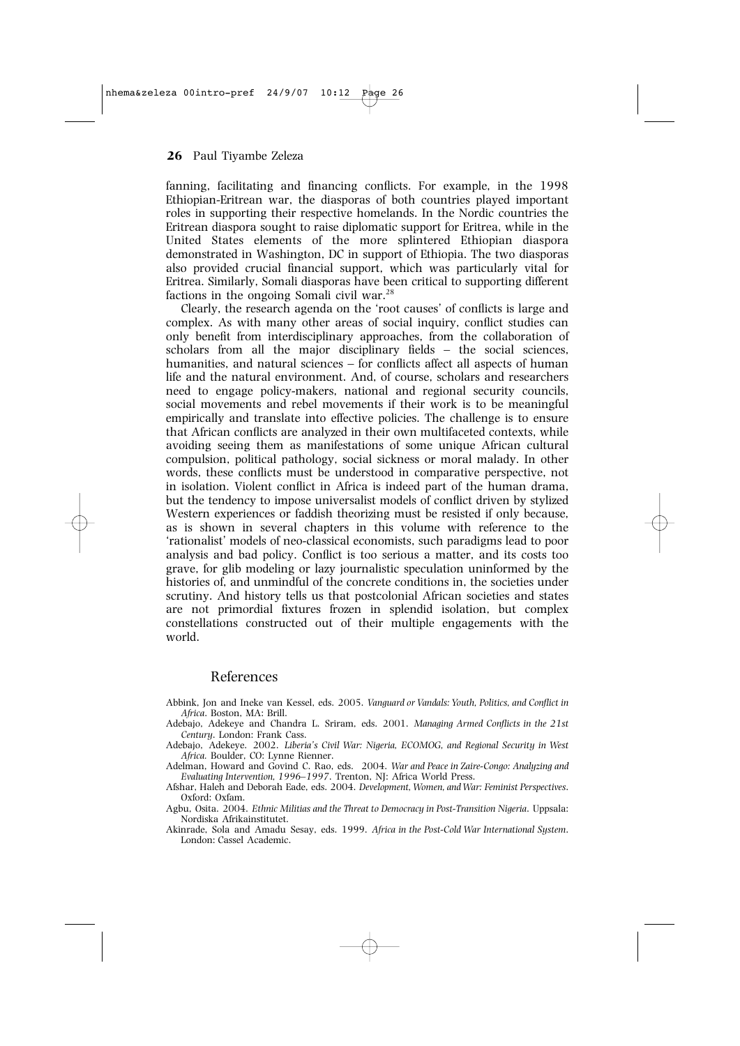fanning, facilitating and financing conflicts. For example, in the 1998 Ethiopian-Eritrean war, the diasporas of both countries played important roles in supporting their respective homelands. In the Nordic countries the Eritrean diaspora sought to raise diplomatic support for Eritrea, while in the United States elements of the more splintered Ethiopian diaspora demonstrated in Washington, DC in support of Ethiopia. The two diasporas also provided crucial financial support, which was particularly vital for Eritrea. Similarly, Somali diasporas have been critical to supporting different factions in the ongoing Somali civil war.<sup>28</sup>

Clearly, the research agenda on the 'root causes' of conflicts is large and complex. As with many other areas of social inquiry, conflict studies can only benefit from interdisciplinary approaches, from the collaboration of scholars from all the major disciplinary fields – the social sciences, humanities, and natural sciences – for conflicts affect all aspects of human life and the natural environment. And, of course, scholars and researchers need to engage policy-makers, national and regional security councils, social movements and rebel movements if their work is to be meaningful empirically and translate into effective policies. The challenge is to ensure that African conflicts are analyzed in their own multifaceted contexts, while avoiding seeing them as manifestations of some unique African cultural compulsion, political pathology, social sickness or moral malady. In other words, these conflicts must be understood in comparative perspective, not in isolation. Violent conflict in Africa is indeed part of the human drama, but the tendency to impose universalist models of conflict driven by stylized Western experiences or faddish theorizing must be resisted if only because, as is shown in several chapters in this volume with reference to the 'rationalist' models of neo-classical economists, such paradigms lead to poor analysis and bad policy. Conflict is too serious a matter, and its costs too grave, for glib modeling or lazy journalistic speculation uninformed by the histories of, and unmindful of the concrete conditions in, the societies under scrutiny. And history tells us that postcolonial African societies and states are not primordial fixtures frozen in splendid isolation, but complex constellations constructed out of their multiple engagements with the world.

#### References

- Abbink, Jon and Ineke van Kessel, eds. 2005. *Vanguard or Vandals: Youth, Politics, and Conflict in Africa*. Boston, MA: Brill.
- Adebajo, Adekeye and Chandra L. Sriram, eds. 2001. *Managing Armed Conflicts in the 21st Century*. London: Frank Cass.
- Adebajo, Adekeye. 2002. *Liberia's Civil War: Nigeria, ECOMOG, and Regional Security in West Africa.* Boulder, CO: Lynne Rienner.
- Adelman, Howard and Govind C. Rao, eds. 2004. *War and Peace in Zaire-Congo: Analyzing and Evaluating Intervention, 1996–1997*. Trenton, NJ: Africa World Press.
- Afshar, Haleh and Deborah Eade, eds. 2004. *Development, Women, and War: Feminist Perspectives*. Oxford: Oxfam.
- Agbu, Osita. 2004. *Ethnic Militias and the Threat to Democracy in Post-Transition Nigeria*. Uppsala: Nordiska Afrikainstitutet.
- Akinrade, Sola and Amadu Sesay, eds. 1999. *Africa in the Post-Cold War International System*. London: Cassel Academic.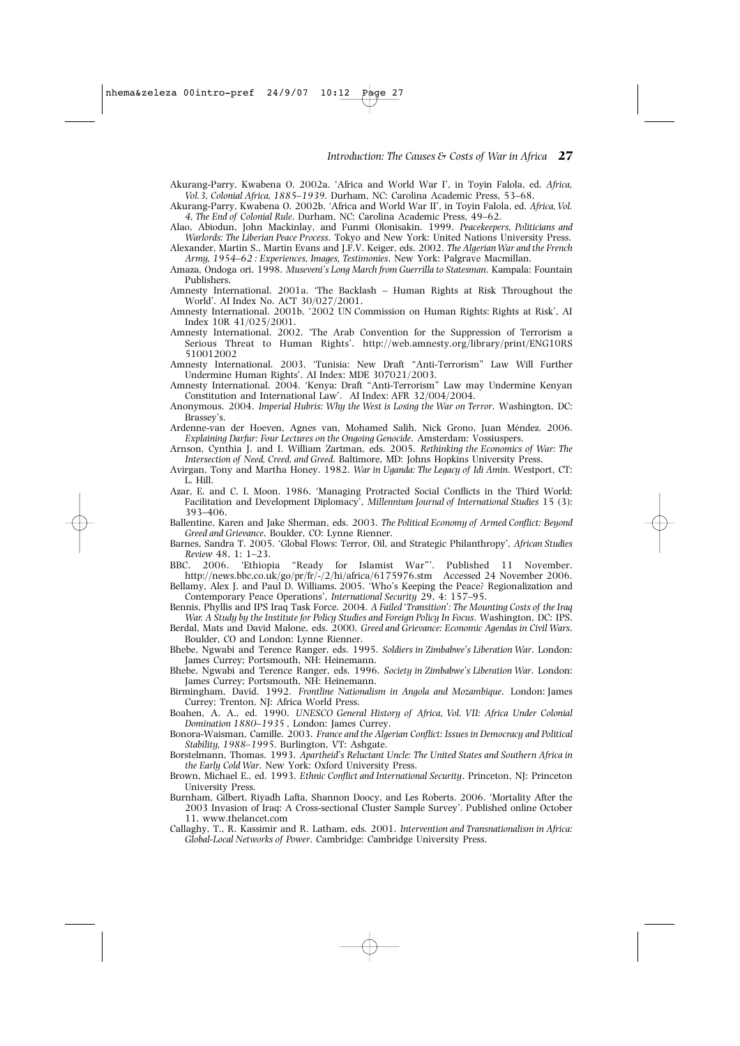- Akurang-Parry, Kwabena O. 2002a. 'Africa and World War I', in Toyin Falola, ed. *Africa, Vol.3, Colonial Africa, 1885–1939*. Durham, NC: Carolina Academic Press, 53–68.
- Akurang-Parry, Kwabena O. 2002b. 'Africa and World War II', in Toyin Falola, ed. *Africa, Vol. 4, The End of Colonial Rule*. Durham, NC: Carolina Academic Press, 49–62.
- Alao, Abiodun, John Mackinlay, and Funmi Olonisakin. 1999. *Peacekeepers, Politicians and Warlords: The Liberian Peace Process*. Tokyo and New York: United Nations University Press.
- Alexander, Martin S., Martin Evans and J.F.V. Keiger, eds. 2002. *The Algerian War and the French Army, 1954–62 : Experiences, Images, Testimonies*. New York: Palgrave Macmillan.
- Amaza, Ondoga ori. 1998. *Museveni's Long March from Guerrilla to Statesman*. Kampala: Fountain Publishers.
- Amnesty International. 2001a. 'The Backlash Human Rights at Risk Throughout the World'. AI Index No. ACT 30/027/2001.
- Amnesty International. 2001b. '2002 UN Commission on Human Rights: Rights at Risk', AI Index 10R 41/025/2001.
- Amnesty International. 2002. 'The Arab Convention for the Suppression of Terrorism a Serious Threat to Human Rights'. http://web.amnesty.org/library/print/ENG10RS 510012002
- Amnesty International. 2003. 'Tunisia: New Draft "Anti-Terrorism" Law Will Further Undermine Human Rights'. AI Index: MDE 307021/2003.
- Amnesty International. 2004. 'Kenya: Draft "Anti-Terrorism" Law may Undermine Kenyan Constitution and International Law'. AI Index: AFR 32/004/2004.
- Anonymous. 2004. *Imperial Hubris: Why the West is Losing the War on Terror*. Washington, DC: Brassey's.
- Ardenne-van der Hoeven, Agnes van, Mohamed Salih, Nick Grono, Juan Méndez. 2006. *Explaining Darfur: Four Lectures on the Ongoing Genocide*. Amsterdam: Vossiuspers.
- Arnson, Cynthia J. and I. William Zartman, eds. 2005. *Rethinking the Economics of War: The Intersection of Need, Creed, and Greed*. Baltimore, MD: Johns Hopkins University Press.
- Avirgan, Tony and Martha Honey. 1982. *War in Uganda: The Legacy of Idi Amin*. Westport, CT: L. Hill.
- Azar, E. and C. I. Moon. 1986. 'Managing Protracted Social Conflicts in the Third World: Facilitation and Development Diplomacy', *Millennium Journal of International Studies* 15 (3): 393–406.
- Ballentine, Karen and Jake Sherman, eds. 2003. *The Political Economy of Armed Conflict: Beyond Greed and Grievance*. Boulder, CO: Lynne Rienner.
- Barnes, Sandra T. 2005. 'Global Flows: Terror, Oil, and Strategic Philanthropy', *African Studies Review* 48, 1: 1–23.
- "Ready for Islamist War"'. Published 11 November. http://news.bbc.co.uk/go/pr/fr/-/2/hi/africa/6175976.stm Accessed 24 November 2006.
- Bellamy, Alex J. and Paul D. Williams. 2005. 'Who's Keeping the Peace? Regionalization and Contemporary Peace Operations', *International Security* 29, 4: 157–95.
- Bennis, Phyllis and IPS Iraq Task Force. 2004. *A Failed* '*Transition*'*: The Mounting Costs of the Iraq War. A Study by the Institute for Policy Studies and Foreign Policy In Focus*. Washington, DC: IPS.
- Berdal, Mats and David Malone, eds. 2000. *Greed and Grievance: Economic Agendas in Civil Wars*. Boulder, CO and London: Lynne Rienner.
- Bhebe, Ngwabi and Terence Ranger, eds. 1995. *Soldiers in Zimbabwe's Liberation War*. London: James Currey; Portsmouth, NH: Heinemann.
- Bhebe, Ngwabi and Terence Ranger, eds. 1996. *Society in Zimbabwe's Liberation War*. London: James Currey; Portsmouth, NH: Heinemann.
- Birmingham, David. 1992. *Frontline Nationalism in Angola and Mozambique*. London: James Currey; Trenton, NJ: Africa World Press.
- Boahen, A. A., ed. 1990. *UNESCO General History of Africa, Vol. VII: Africa Under Colonial Domination 1880–1935* , London: James Currey.
- Bonora-Waisman, Camille. 2003. *France and the Algerian Conflict: Issues in Democracy and Political Stability, 1988–1995*. Burlington, VT: Ashgate.
- Borstelmann, Thomas. 1993. *Apartheid's Reluctant Uncle: The United States and Southern Africa in the Early Cold War*. New York: Oxford University Press.
- Brown, Michael E., ed. 1993. *Ethnic Conflict and International Security*. Princeton, NJ: Princeton University Press.
- Burnham, Gilbert, Riyadh Lafta, Shannon Doocy, and Les Roberts. 2006. 'Mortality After the 2003 Invasion of Iraq: A Cross-sectional Cluster Sample Survey'. Published online October 11. www.thelancet.com
- Callaghy, T., R. Kassimir and R. Latham, eds. 2001. *Intervention and Transnationalism in Africa: Global-Local Networks of Power*. Cambridge: Cambridge University Press.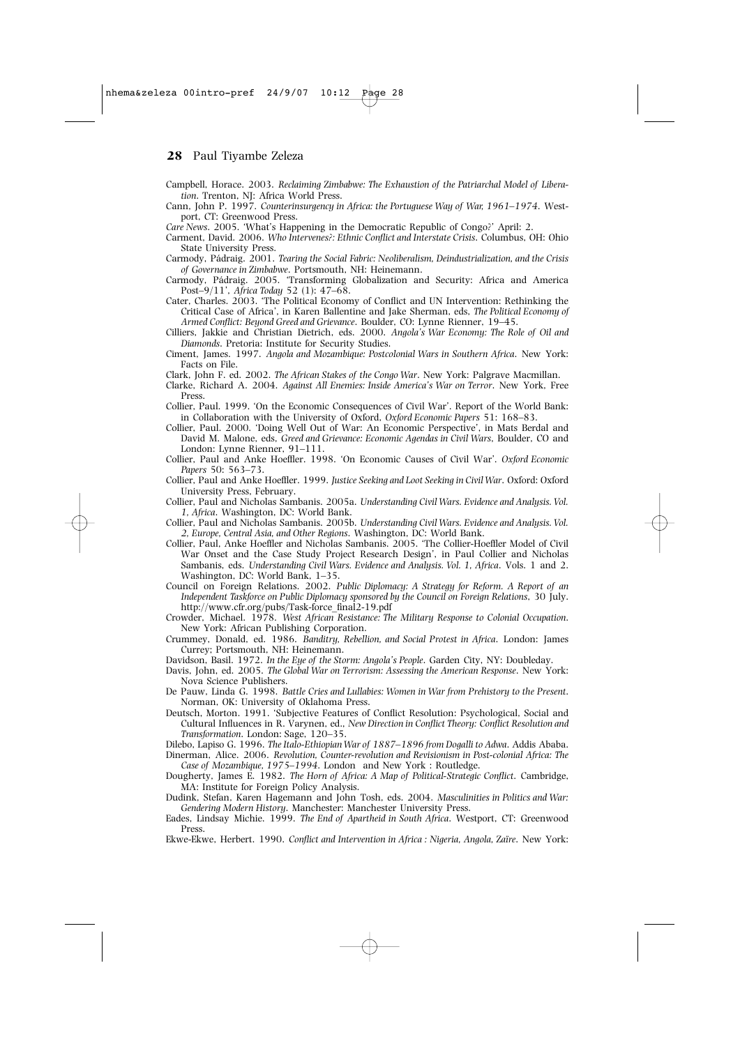- Campbell, Horace. 2003. *Reclaiming Zimbabwe: The Exhaustion of the Patriarchal Model of Liberation*. Trenton, NJ: Africa World Press.
- Cann, John P. 1997. *Counterinsurgency in Africa: the Portuguese Way of War, 1961–1974*. Westport, CT: Greenwood Press.
- *Care News*. 2005. 'What's Happening in the Democratic Republic of Congo?' April: 2.
- Carment, David. 2006. *Who Intervenes?: Ethnic Conflict and Interstate Crisis*. Columbus, OH: Ohio State University Press.
- Carmody, Pádraig. 2001. *Tearing the Social Fabric: Neoliberalism, Deindustrialization, and the Crisis of Governance in Zimbabwe*. Portsmouth, NH: Heinemann.
- Carmody, Pádraig. 2005. 'Transforming Globalization and Security: Africa and America Post–9/11', *Africa Today* 52 (1): 47–68.
- Cater, Charles. 2003. 'The Political Economy of Conflict and UN Intervention: Rethinking the Critical Case of Africa', in Karen Ballentine and Jake Sherman, eds, *The Political Economy of Armed Conflict: Beyond Greed and Grievance*. Boulder, CO: Lynne Rienner, 19–45.
- Cilliers, Jakkie and Christian Dietrich, eds. 2000. *Angola's War Economy: The Role of Oil and Diamonds*. Pretoria: Institute for Security Studies.
- Ciment, James. 1997. *Angola and Mozambique: Postcolonial Wars in Southern Africa*. New York: Facts on File.
- Clark, John F. ed. 2002. *The African Stakes of the Congo War*. New York: Palgrave Macmillan.
- Clarke, Richard A. 2004. *Against All Enemies: Inside America's War on Terror*. New York, Free Press.
- Collier, Paul. 1999. 'On the Economic Consequences of Civil War'. Report of the World Bank: in Collaboration with the University of Oxford, *Oxford Economic Papers* 51: 168–83.
- Collier, Paul. 2000. 'Doing Well Out of War: An Economic Perspective', in Mats Berdal and David M. Malone, eds, *Greed and Grievance: Economic Agendas in Civil Wars*, Boulder, CO and London: Lynne Rienner, 91–111.
- Collier, Paul and Anke Hoeffler. 1998. 'On Economic Causes of Civil War'. *Oxford Economic Papers* 50: 563–73.
- Collier, Paul and Anke Hoeffler. 1999. *Justice Seeking and Loot Seeking in Civil War*. Oxford: Oxford University Press, February.
- Collier, Paul and Nicholas Sambanis. 2005a. *Understanding Civil Wars. Evidence and Analysis. Vol. 1, Africa*. Washington, DC: World Bank.
- Collier, Paul and Nicholas Sambanis. 2005b. *Understanding Civil Wars. Evidence and Analysis. Vol. 2, Europe, Central Asia, and Other Regions*. Washington, DC: World Bank.
- Collier, Paul, Anke Hoeffler and Nicholas Sambanis. 2005. 'The Collier-Hoeffler Model of Civil War Onset and the Case Study Project Research Design', in Paul Collier and Nicholas Sambanis, eds. *Understanding Civil Wars. Evidence and Analysis. Vol. 1, Africa*. Vols. 1 and 2. Washington, DC: World Bank, 1–35.
- Council on Foreign Relations. 2002. *Public Diplomacy: A Strategy for Reform. A Report of an Independent Taskforce on Public Diplomacy sponsored by the Council on Foreign Relations*, 30 July. http://www.cfr.org/pubs/Task-force\_final2-19.pdf
- Crowder, Michael. 1978. *West African Resistance: The Military Response to Colonial Occupation*. New York: African Publishing Corporation.
- Crummey, Donald, ed. 1986. *Banditry, Rebellion, and Social Protest in Africa*. London: James Currey; Portsmouth, NH: Heinemann.
- Davidson, Basil. 1972. *In the Eye of the Storm: Angola's People*. Garden City, NY: Doubleday.
- Davis, John, ed. 2005. *The Global War on Terrorism: Assessing the American Response*. New York: Nova Science Publishers.
- De Pauw, Linda G. 1998. *Battle Cries and Lullabies: Women in War from Prehistory to the Present*. Norman, OK: University of Oklahoma Press.
- Deutsch, Morton. 1991. 'Subjective Features of Conflict Resolution: Psychological, Social and Cultural Influences in R. Varynen, ed., *New Direction in Conflict Theory: Conflict Resolution and Transformation*. London: Sage, 120–35.

Dilebo, Lapiso G. 1996. *The Italo-Ethiopian War of 1887–1896 from Dogalli to Adwa*. Addis Ababa.

- Dinerman, Alice. 2006. *Revolution, Counter-revolution and Revisionism in Post-colonial Africa: The Case of Mozambique, 1975–1994*. London and New York : Routledge.
- Dougherty, James E. 1982. *The Horn of Africa: A Map of Political-Strategic Conflict*. Cambridge, MA: Institute for Foreign Policy Analysis.
- Dudink, Stefan, Karen Hagemann and John Tosh, eds. 2004. *Masculinities in Politics and War: Gendering Modern History*. Manchester: Manchester University Press.
- Eades, Lindsay Michie. 1999. *The End of Apartheid in South Africa*. Westport, CT: Greenwood Press.
- Ekwe-Ekwe, Herbert. 1990. *Conflict and Intervention in Africa : Nigeria, Angola, Zaïre*. New York: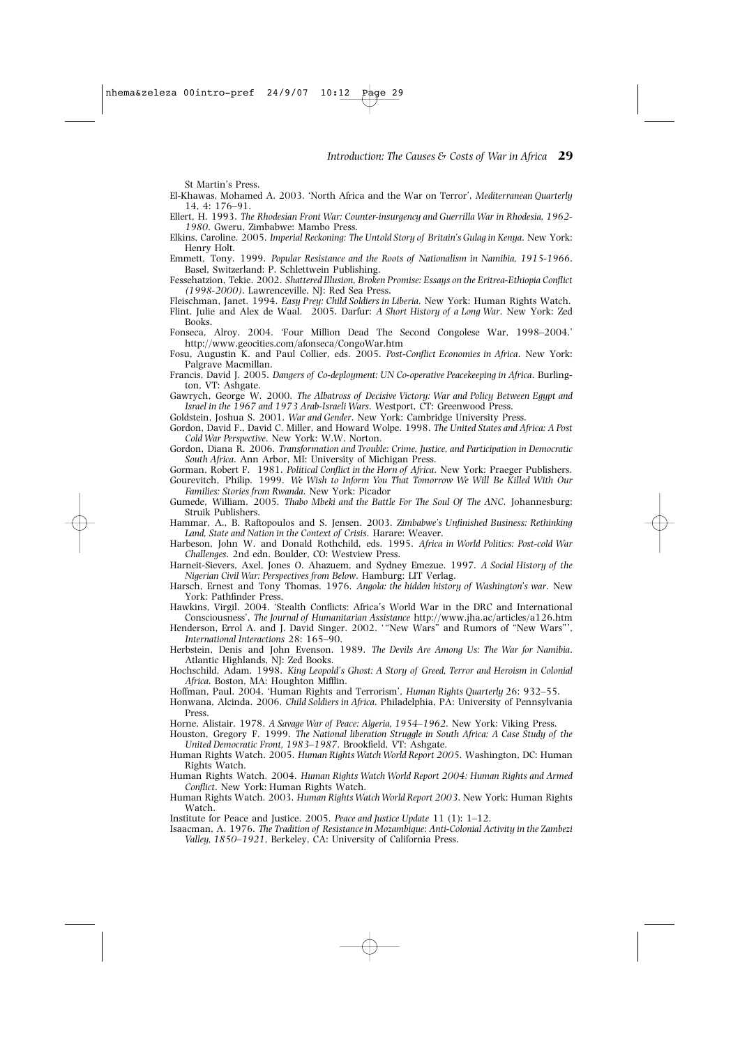St Martin's Press.

- El-Khawas, Mohamed A. 2003. 'North Africa and the War on Terror', *Mediterranean Quarterly* 14, 4: 176–91.
- Ellert, H. 1993. *The Rhodesian Front War: Counter-insurgency and Guerrilla War in Rhodesia, 1962- 1980*. Gweru, Zimbabwe: Mambo Press.
- Elkins, Caroline. 2005. *Imperial Reckoning: The Untold Story of Britain's Gulag in Kenya*. New York: Henry Holt.
- Emmett, Tony. 1999. *Popular Resistance and the Roots of Nationalism in Namibia, 1915-1966*. Basel, Switzerland: P. Schlettwein Publishing.
- Fessehatzion, Tekie. 2002. *Shattered Illusion, Broken Promise: Essays on the Eritrea-Ethiopia Conflict (1998-2000)*. Lawrenceville, NJ: Red Sea Press.
- Fleischman, Janet. 1994. *Easy Prey: Child Soldiers in Liberia*. New York: Human Rights Watch.
- Flint, Julie and Alex de Waal. 2005. Darfur: *A Short History of a Long War*. New York: Zed Books.
- Fonseca, Alroy. 2004. 'Four Million Dead The Second Congolese War, 1998–2004.' http://www.geocities.com/afonseca/CongoWar.htm
- Fosu, Augustin K. and Paul Collier, eds. 2005. *Post-Conflict Economies in Africa*. New York: Palgrave Macmillan.
- Francis, David J. 2005. *Dangers of Co-deployment: UN Co-operative Peacekeeping in Africa*. Burlington, VT: Ashgate.
- Gawrych, George W. 2000. *The Albatross of Decisive Victory: War and Policy Between Egypt and Israel in the 1967 and 1973 Arab-Israeli Wars*. Westport, CT: Greenwood Press.
- Goldstein, Joshua S. 2001. *War and Gender*. New York: Cambridge University Press.
- Gordon, David F., David C. Miller, and Howard Wolpe. 1998. *The United States and Africa: A Post Cold War Perspective*. New York: W.W. Norton.
- Gordon, Diana R. 2006. *Transformation and Trouble: Crime, Justice, and Participation in Democratic South Africa*. Ann Arbor, MI: University of Michigan Press.
- Gorman, Robert F. 1981. *Political Conflict in the Horn of Africa*. New York: Praeger Publishers.
- Gourevitch, Philip. 1999. *We Wish to Inform You That Tomorrow We Will Be Killed With Our Families: Stories from Rwanda*. New York: Picador
- Gumede, William. 2005. *Thabo Mbeki and the Battle For The Soul Of The ANC*. Johannesburg: Struik Publishers.
- Hammar, A., B. Raftopoulos and S. Jensen. 2003. *Zimbabwe's Unfinished Business: Rethinking Land, State and Nation in the Context of Crisis*. Harare: Weaver.
- Harbeson, John W. and Donald Rothchild, eds. 1995. *Africa in World Politics: Post-cold War Challenges*. 2nd edn. Boulder, CO: Westview Press.
- Harneit-Sievers, Axel, Jones O. Ahazuem, and Sydney Emezue. 1997. *A Social History of the Nigerian Civil War: Perspectives from Below*. Hamburg: LIT Verlag.
- Harsch, Ernest and Tony Thomas. 1976. *Angola: the hidden history of Washington's war*. New York: Pathfinder Press.
- Hawkins, Virgil. 2004. 'Stealth Conflicts: Africa's World War in the DRC and International Consciousness', *The Journal of Humanitarian Assistance* http://www.jha.ac/articles/a126.htm
- Henderson, Errol A. and J. David Singer. 2002. '"New Wars" and Rumors of "New Wars"', *International Interactions* 28: 165–90.
- Herbstein, Denis and John Evenson. 1989. *The Devils Are Among Us: The War for Namibia*. Atlantic Highlands, NJ: Zed Books.
- Hochschild, Adam. 1998. *King Leopold's Ghost: A Story of Greed, Terror and Heroism in Colonial Africa*. Boston, MA: Houghton Mifflin.
- Hoffman, Paul. 2004. 'Human Rights and Terrorism', *Human Rights Quarterly* 26: 932–55.
- Honwana, Alcinda. 2006. *Child Soldiers in Africa*. Philadelphia, PA: University of Pennsylvania Press.
- Horne, Alistair. 1978. *A Savage War of Peace: Algeria, 1954–1962*. New York: Viking Press.
- Houston, Gregory F. 1999. *The National liberation Struggle in South Africa: A Case Study of the United Democratic Front, 1983–1987*. Brookfield, VT: Ashgate.
- Human Rights Watch. 2005. *Human Rights Watch World Report 2005*. Washington, DC: Human Rights Watch.
- Human Rights Watch. 2004. *Human Rights Watch World Report 2004: Human Rights and Armed Conflict*. New York: Human Rights Watch.
- Human Rights Watch. 2003. *Human Rights Watch World Report 2003*. New York: Human Rights Watch.
- Institute for Peace and Justice. 2005. *Peace and Justice Update* 11 (1): 1–12.
- Isaacman, A. 1976. *The Tradition of Resistance in Mozambique: Anti-Colonial Activity in the Zambezi Valley, 1850–1921*, Berkeley, CA: University of California Press.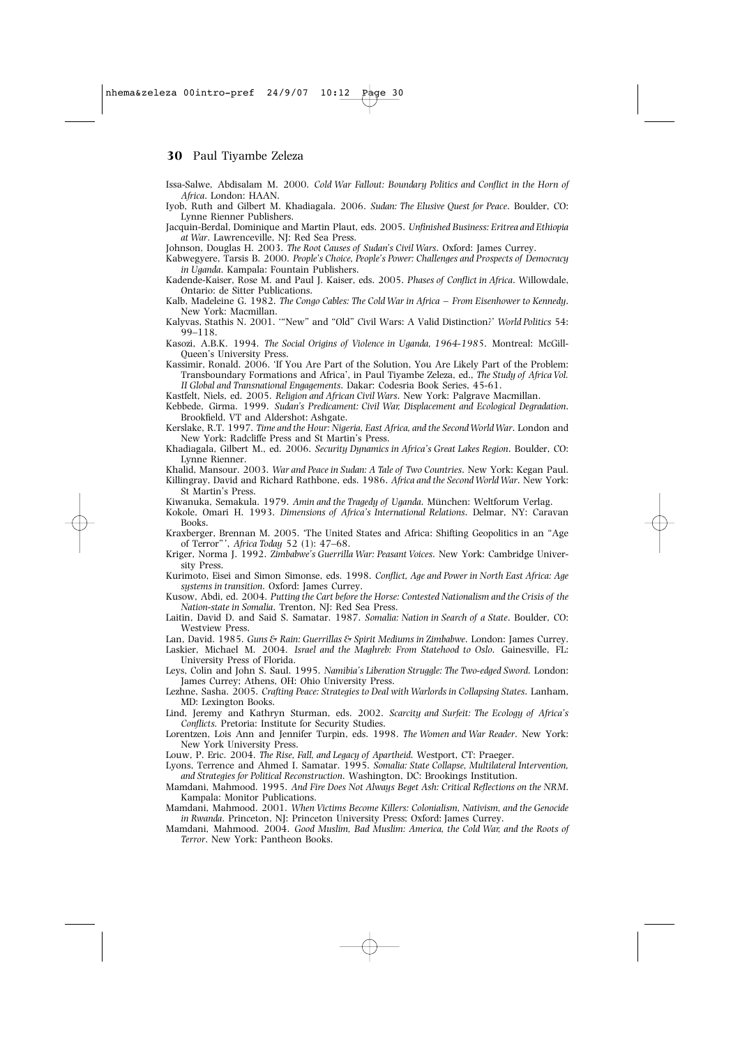- Issa-Salwe, Abdisalam M. 2000. *Cold War Fallout: Boundary Politics and Conflict in the Horn of Africa*. London: HAAN.
- Iyob, Ruth and Gilbert M. Khadiagala. 2006. *Sudan: The Elusive Quest for Peace*. Boulder, CO: Lynne Rienner Publishers.
- Jacquin-Berdal, Dominique and Martin Plaut, eds. 2005. *Unfinished Business: Eritrea and Ethiopia at War*. Lawrenceville, NJ: Red Sea Press.
- Johnson, Douglas H. 2003. *The Root Causes of Sudan's Civil Wars*. Oxford: James Currey.
- Kabwegyere, Tarsis B. 2000. *People's Choice, People's Power: Challenges and Prospects of Democracy in Uganda*. Kampala: Fountain Publishers.
- Kadende-Kaiser, Rose M. and Paul J. Kaiser, eds. 2005. *Phases of Conflict in Africa*. Willowdale, Ontario: de Sitter Publications.
- Kalb, Madeleine G. 1982. *The Congo Cables: The Cold War in Africa From Eisenhower to Kennedy*. New York: Macmillan.
- Kalyvas, Stathis N. 2001. '"New" and "Old" Civil Wars: A Valid Distinction?' *World Politics* 54: 99–118.
- Kasozi, A.B.K. 1994. *The Social Origins of Violence in Uganda, 1964-1985*. Montreal: McGill-Queen's University Press.
- Kassimir, Ronald. 2006. 'If You Are Part of the Solution, You Are Likely Part of the Problem: Transboundary Formations and Africa', in Paul Tiyambe Zeleza, ed., *The Study of Africa Vol. II Global and Transnational Engagements*. Dakar: Codesria Book Series, 45-61.

Kastfelt, Niels, ed. 2005. *Religion and African Civil Wars*. New York: Palgrave Macmillan.

- Kebbede, Girma. 1999. *Sudan's Predicament: Civil War, Displacement and Ecological Degradation*. Brookfield, VT and Aldershot: Ashgate.
- Kerslake, R.T. 1997. *Time and the Hour: Nigeria, East Africa, and the Second World War*. London and New York: Radcliffe Press and St Martin's Press.
- Khadiagala, Gilbert M., ed. 2006. *Security Dynamics in Africa's Great Lakes Region*. Boulder, CO: Lynne Rienner.
- Khalid, Mansour. 2003. *War and Peace in Sudan: A Tale of Two Countries*. New York: Kegan Paul.
- Killingray, David and Richard Rathbone, eds. 1986. *Africa and the Second World War*. New York: St Martin's Press.
- Kiwanuka, Semakula. 1979. *Amin and the Tragedy of Uganda*. München: Weltforum Verlag.
- Kokole, Omari H. 1993. *Dimensions of Africa's International Relations*. Delmar, NY: Caravan Books.
- Kraxberger, Brennan M. 2005. 'The United States and Africa: Shifting Geopolitics in an "Age of Terror"', *Africa Today* 52 (1): 47–68.
- Kriger, Norma J. 1992. *Zimbabwe's Guerrilla War: Peasant Voices*. New York: Cambridge University Press.
- Kurimoto, Eisei and Simon Simonse, eds. 1998. *Conflict, Age and Power in North East Africa: Age systems in transition*. Oxford: James Currey.
- Kusow, Abdi, ed. 2004. *Putting the Cart before the Horse: Contested Nationalism and the Crisis of the Nation-state in Somalia*. Trenton, NJ: Red Sea Press.
- Laitin, David D. and Said S. Samatar. 1987. *Somalia: Nation in Search of a State*. Boulder, CO: Westview Press.
- Lan, David. 1985. *Guns & Rain: Guerrillas & Spirit Mediums in Zimbabwe*. London: James Currey.
- Laskier, Michael M. 2004. *Israel and the Maghreb: From Statehood to Oslo*. Gainesville, FL: University Press of Florida.
- Leys, Colin and John S. Saul. 1995. *Namibia's Liberation Struggle: The Two-edged Sword*. London: James Currey; Athens, OH: Ohio University Press.
- Lezhne, Sasha. 2005. *Crafting Peace: Strategies to Deal with Warlords in Collapsing States*. Lanham, MD: Lexington Books.
- Lind, Jeremy and Kathryn Sturman, eds. 2002. *Scarcity and Surfeit: The Ecology of Africa's Conflicts.* Pretoria: Institute for Security Studies.
- Lorentzen, Lois Ann and Jennifer Turpin, eds. 1998. *The Women and War Reader*. New York: New York University Press.
- Louw, P. Eric. 2004. *The Rise, Fall, and Legacy of Apartheid*. Westport, CT: Praeger.
- Lyons, Terrence and Ahmed I. Samatar. 1995. *Somalia: State Collapse, Multilateral Intervention, and Strategies for Political Reconstruction*. Washington, DC: Brookings Institution.
- Mamdani, Mahmood. 1995. *And Fire Does Not Always Beget Ash: Critical Reflections on the NRM*. Kampala: Monitor Publications.
- Mamdani, Mahmood. 2001. *When Victims Become Killers: Colonialism, Nativism, and the Genocide in Rwanda*. Princeton, NJ: Princeton University Press; Oxford: James Currey.
- Mamdani, Mahmood. 2004. *Good Muslim, Bad Muslim: America, the Cold War, and the Roots of Terror*. New York: Pantheon Books.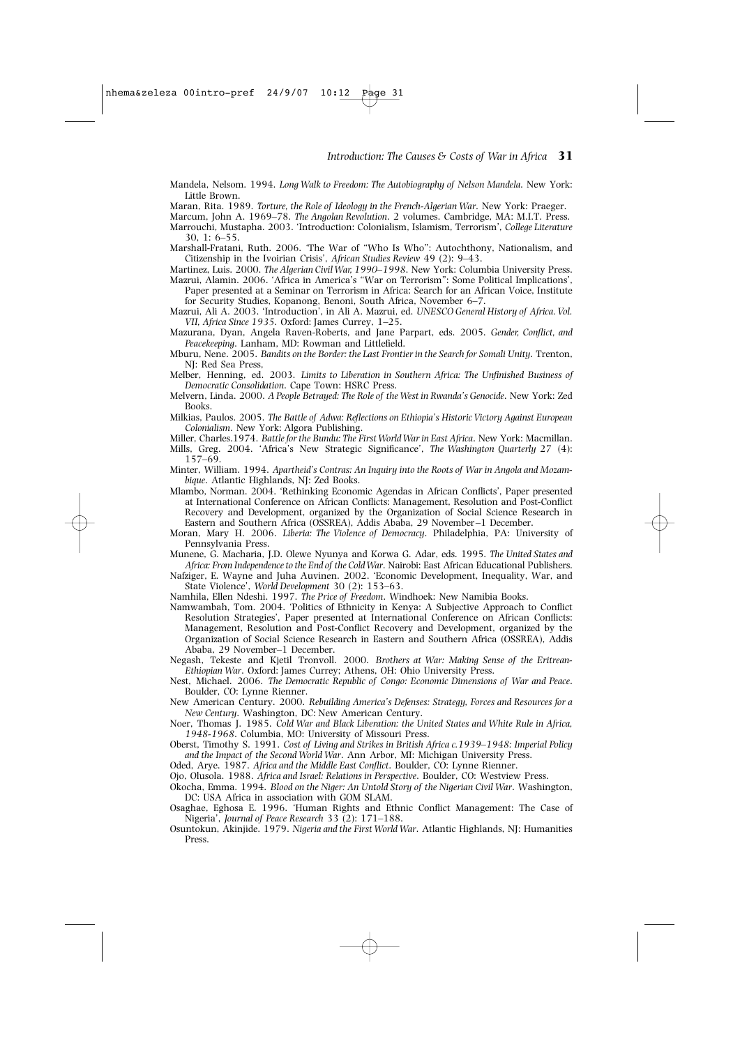Mandela, Nelsom. 1994. *Long Walk to Freedom: The Autobiography of Nelson Mandela*. New York: Little Brown.

Maran, Rita. 1989. *Torture, the Role of Ideology in the French-Algerian War*. New York: Praeger.

Marcum, John A. 1969–78. *The Angolan Revolution*. 2 volumes. Cambridge, MA: M.I.T. Press.

- Marrouchi, Mustapha. 2003. 'Introduction: Colonialism, Islamism, Terrorism', *College Literature* 30, 1: 6–55.
- Marshall-Fratani, Ruth. 2006. 'The War of "Who Is Who": Autochthony, Nationalism, and Citizenship in the Ivoirian Crisis', *African Studies Review* 49 (2): 9–43.

Martinez, Luis. 2000. *The Algerian Civil War, 1990–1998*. New York: Columbia University Press.

- Mazrui, Alamin. 2006. 'Africa in America's "War on Terrorism": Some Political Implications', Paper presented at a Seminar on Terrorism in Africa: Search for an African Voice, Institute for Security Studies, Kopanong, Benoni, South Africa, November 6–7.
- Mazrui, Ali A. 2003. 'Introduction', in Ali A. Mazrui, ed. *UNESCO General History of Africa. Vol. VII, Africa Since 1935*. Oxford: James Currey, 1–25.
- Mazurana, Dyan, Angela Raven-Roberts, and Jane Parpart, eds. 2005. *Gender, Conflict, and Peacekeeping*. Lanham, MD: Rowman and Littlefield.
- Mburu, Nene. 2005. *Bandits on the Border: the Last Frontier in the Search for Somali Unity*. Trenton, NJ: Red Sea Press,
- Melber, Henning, ed. 2003. *Limits to Liberation in Southern Africa: The Unfinished Business of Democratic Consolidation*. Cape Town: HSRC Press.
- Melvern, Linda. 2000. *A People Betrayed: The Role of the West in Rwanda's Genocide*. New York: Zed Books.
- Milkias, Paulos. 2005. *The Battle of Adwa: Reflections on Ethiopia's Historic Victory Against European Colonialism*. New York: Algora Publishing.
- Miller, Charles.1974. *Battle for the Bundu: The First World War in East Africa*. New York: Macmillan.
- Mills, Greg. 2004. 'Africa's New Strategic Significance', *The Washington Quarterly* 27 (4): 157–69.
- Minter, William. 1994. *Apartheid's Contras: An Inquiry into the Roots of War in Angola and Mozambique*. Atlantic Highlands, NJ: Zed Books.
- Mlambo, Norman. 2004. 'Rethinking Economic Agendas in African Conflicts', Paper presented at International Conference on African Conflicts: Management, Resolution and Post-Conflict Recovery and Development, organized by the Organization of Social Science Research in Eastern and Southern Africa (OSSREA), Addis Ababa, 29 November–1 December.
- Moran, Mary H. 2006. *Liberia: The Violence of Democracy*. Philadelphia, PA: University of Pennsylvania Press.
- Munene, G. Macharia, J.D. Olewe Nyunya and Korwa G. Adar, eds. 1995. *The United States and Africa: From Independence to the End of the Cold War*. Nairobi: East African Educational Publishers.
- Nafziger, E. Wayne and Juha Auvinen. 2002. 'Economic Development, Inequality, War, and State Violence', *World Development* 30 (2): 153–63.
- Namhila, Ellen Ndeshi. 1997. *The Price of Freedom*. Windhoek: New Namibia Books.
- Namwambah, Tom. 2004. 'Politics of Ethnicity in Kenya: A Subjective Approach to Conflict Resolution Strategies', Paper presented at International Conference on African Conflicts: Management, Resolution and Post-Conflict Recovery and Development, organized by the Organization of Social Science Research in Eastern and Southern Africa (OSSREA), Addis Ababa, 29 November–1 December.
- Negash, Tekeste and Kjetil Tronvoll. 2000. *Brothers at War: Making Sense of the Eritrean-Ethiopian War*. Oxford: James Currey; Athens, OH: Ohio University Press.
- Nest, Michael. 2006. *The Democratic Republic of Congo: Economic Dimensions of War and Peace*. Boulder, CO: Lynne Rienner.
- New American Century. 2000. *Rebuilding America's Defenses: Strategy, Forces and Resources for a New Century*. Washington, DC: New American Century.
- Noer, Thomas J. 1985. *Cold War and Black Liberation: the United States and White Rule in Africa, 1948-1968*. Columbia, MO: University of Missouri Press.
- Oberst, Timothy S. 1991. *Cost of Living and Strikes in British Africa c.1939–1948: Imperial Policy and the Impact of the Second World War*. Ann Arbor, MI: Michigan University Press.
- Oded, Arye. 1987. *Africa and the Middle East Conflict*. Boulder, CO: Lynne Rienner.
- Ojo, Olusola. 1988. *Africa and Israel: Relations in Perspective*. Boulder, CO: Westview Press.
- Okocha, Emma. 1994. *Blood on the Niger: An Untold Story of the Nigerian Civil War*. Washington, DC: USA Africa in association with GOM SLAM.
- Osaghae, Eghosa E. 1996. 'Human Rights and Ethnic Conflict Management: The Case of Nigeria', *Journal of Peace Research* 33 (2): 171–188.
- Osuntokun, Akinjide. 1979. *Nigeria and the First World War*. Atlantic Highlands, NJ: Humanities Press.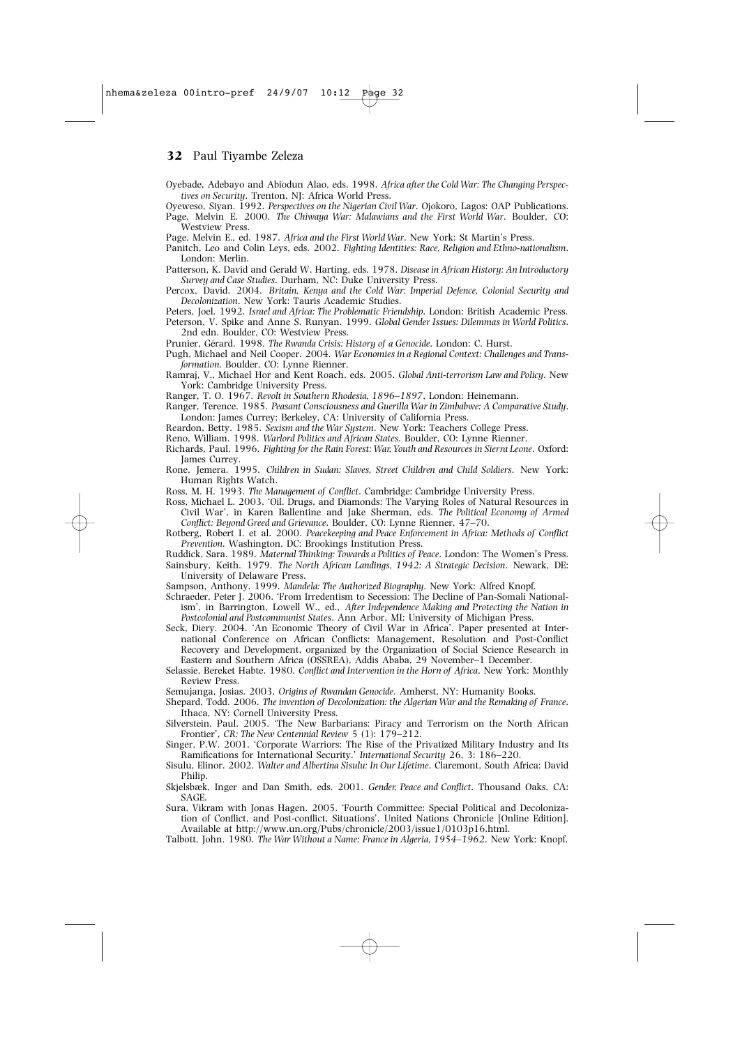- Oyebade, Adebayo and Abiodun Alao, eds. 1998. *Africa after the Cold War: The Changing Perspectives on Security*. Trenton, NJ: Africa World Press.
- Oyeweso, Siyan. 1992. *Perspectives on the Nigerian Civil War*. Ojokoro, Lagos: OAP Publications. Page, Melvin E. 2000. *The Chiwaya War: Malawians and the First World War*. Boulder, CO: Westview Press.

Page, Melvin E., ed. 1987. *Africa and the First World War*. New York: St Martin's Press.

Panitch, Leo and Colin Leys, eds. 2002. *Fighting Identities: Race, Religion and Ethno-nationalism*. London: Merlin.

Patterson, K. David and Gerald W. Harting, eds. 1978. *Disease in African History: An Introductory Survey and Case Studies*. Durham, NC: Duke University Press.

- Percox, David. 2004. *Britain, Kenya and the Cold War: Imperial Defence, Colonial Security and Decolonization*. New York: Tauris Academic Studies.
- Peters, Joel. 1992. *Israel and Africa: The Problematic Friendship*. London: British Academic Press.
- Peterson, V. Spike and Anne S. Runyan. 1999. *Global Gender Issues: Dilemmas in World Politics*. 2nd edn. Boulder, CO: Westview Press.

Prunier, Gérard. 1998. *The Rwanda Crisis: History of a Genocide*. London: C. Hurst.

- Pugh, Michael and Neil Cooper. 2004. *War Economies in a Regional Context: Challenges and Transformation*. Boulder, CO: Lynne Rienner.
- Ramraj, V., Michael Hor and Kent Roach, eds. 2005. *Global Anti-terrorism Law and Policy*. New York: Cambridge University Press.

Ranger, T. O. 1967. *Revolt in Southern Rhodesia, 1896–1897*, London: Heinemann.

- Ranger, Terence. 1985. *Peasant Consciousness and Guerilla War in Zimbabwe: A Comparative Study*. London: James Currey; Berkeley, CA: University of California Press.
- Reardon, Betty. 1985. *Sexism and the War System*. New York: Teachers College Press.

Reno, William. 1998. *Warlord Politics and African States*. Boulder, CO: Lynne Rienner.

- Richards, Paul. 1996. *Fighting for the Rain Forest: War, Youth and Resources in Sierra Leone*. Oxford: James Currey.
- Rone, Jemera. 1995. *Children in Sudan: Slaves, Street Children and Child Soldiers*. New York: Human Rights Watch.
- Ross, M. H. 1993. *The Management of Conflict*. Cambridge: Cambridge University Press.

Ross, Michael L. 2003. 'Oil. Drugs, and Diamonds: The Varying Roles of Natural Resources in Civil War', in Karen Ballentine and Jake Sherman, eds. *The Political Economy of Armed Conflict: Beyond Greed and Grievance*. Boulder, CO: Lynne Rienner, 47–70.

Rotberg, Robert I. et al. 2000. *Peacekeeping and Peace Enforcement in Africa: Methods of Conflict Prevention*. Washington, DC: Brookings Institution Press.

Ruddick, Sara. 1989. *Maternal Thinking: Towards a Politics of Peace*. London: The Women's Press.

Sainsbury, Keith. 1979. *The North African Landings, 1942: A Strategic Decision*. Newark, DE: University of Delaware Press.

Sampson, Anthony. 1999. *Mandela: The Authorized Biography*. New York: Alfred Knopf.

- Schraeder, Peter J. 2006. 'From Irredentism to Secession: The Decline of Pan-Somali Nationalism', in Barrington, Lowell W., ed., *After Independence Making and Protecting the Nation in Postcolonial and Postcommunist States*. Ann Arbor, MI: University of Michigan Press.
- Seck, Diery. 2004. 'An Economic Theory of Civil War in Africa'. Paper presented at International Conference on African Conflicts: Management, Resolution and Post-Conflict Recovery and Development, organized by the Organization of Social Science Research in Eastern and Southern Africa (OSSREA), Addis Ababa, 29 November–1 December.
- Selassie, Bereket Habte. 1980. *Conflict and Intervention in the Horn of Africa*. New York: Monthly Review Press.

Semujanga, Josias. 2003. *Origins of Rwandan Genocide*. Amherst, NY: Humanity Books.

- Shepard, Todd. 2006. *The invention of Decolonization: the Algerian War and the Remaking of France*. Ithaca, NY: Cornell University Press.
- Silverstein, Paul. 2005. 'The New Barbarians: Piracy and Terrorism on the North African Frontier', *CR: The New Centennial Review* 5 (1): 179–212.
- Singer, P.W. 2001. 'Corporate Warriors: The Rise of the Privatized Military Industry and Its Ramifications for International Security.' *International Security* 26, 3: 186–220.
- Sisulu, Elinor. 2002. *Walter and Albertina Sisulu: In Our Lifetime*. Claremont, South Africa: David Philip.
- Skjelsbæk, Inger and Dan Smith, eds. 2001. *Gender, Peace and Conflict*. Thousand Oaks, CA: SAGE.
- Sura, Vikram with Jonas Hagen. 2005. 'Fourth Committee: Special Political and Decolonization of Conflict, and Post-conflict, Situations', United Nations Chronicle [Online Edition]. Available at http://www.un.org/Pubs/chronicle/2003/issue1/0103p16.html.
- Talbott, John. 1980. *The War Without a Name: France in Algeria, 1954–1962*. New York: Knopf.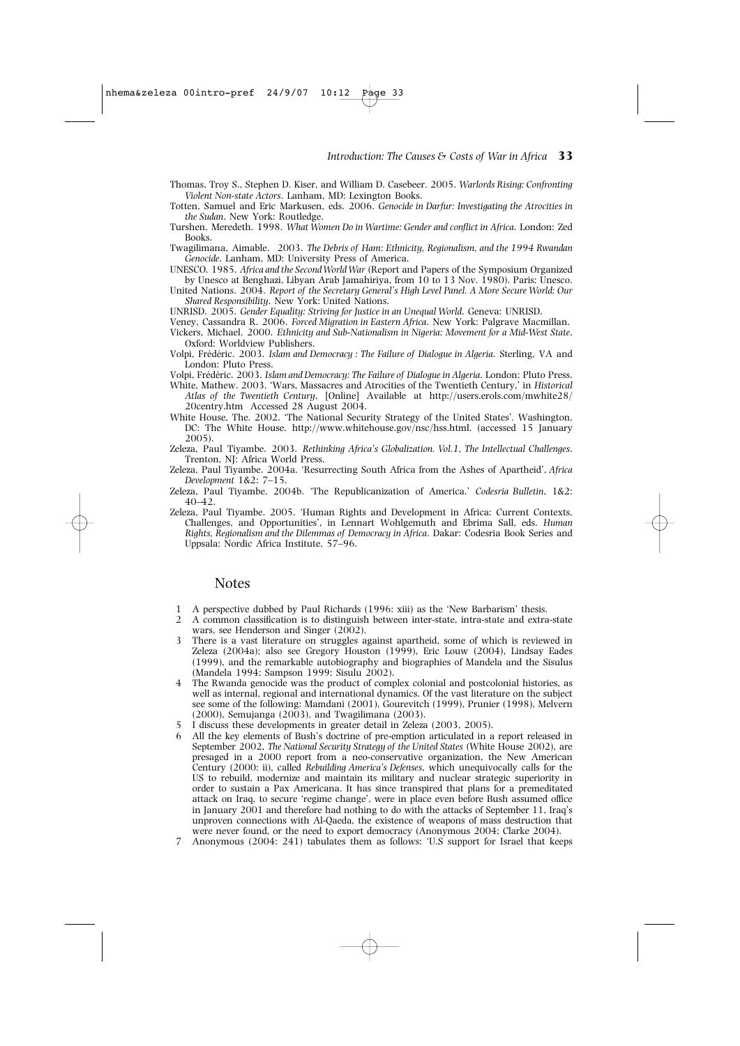- Thomas, Troy S., Stephen D. Kiser, and William D. Casebeer. 2005. *Warlords Rising: Confronting Violent Non-state Actors*. Lanham, MD: Lexington Books.
- Totten, Samuel and Eric Markusen, eds. 2006. *Genocide in Darfur: Investigating the Atrocities in the Sudan*. New York: Routledge.
- Turshen, Meredeth. 1998. *What Women Do in Wartime: Gender and conflict in Africa*. London: Zed Books.

Twagilimana, Aimable. 2003. *The Debris of Ham: Ethnicity, Regionalism, and the 1994 Rwandan Genocide*. Lanham, MD: University Press of America.

UNESCO. 1985. *Africa and the Second World War* (Report and Papers of the Symposium Organized by Unesco at Benghazi, Libyan Arab Jamahiriya, from 10 to 13 Nov. 1980). Paris: Unesco.

United Nations. 2004. *Report of the Secretary General's High Level Panel. A More Secure World: Our Shared Responsibility*. New York: United Nations.

UNRISD. 2005. *Gender Equality: Striving for Justice in an Unequal World*. Geneva: UNRISD.

- Veney, Cassandra R. 2006. *Forced Migration in Eastern Africa*. New York: Palgrave Macmillan.
- Vickers, Michael. 2000. *Ethnicity and Sub-Nationalism in Nigeria: Movement for a Mid-West State*. Oxford: Worldview Publishers.
- Volpi, Frédéric. 2003. *Islam and Democracy : The Failure of Dialogue in Algeria*. Sterling, VA and London: Pluto Press.

Volpi, Frédéric. 2003. *Islam and Democracy: The Failure of Dialogue in Algeria*. London: Pluto Press.

- White, Mathew. 2003. 'Wars, Massacres and Atrocities of the Twentieth Century,' in *Historical Atlas of the Twentieth Century*, [Online] Available at http://users.erols.com/mwhite28/ 20centry.htm Accessed 28 August 2004.
- White House, The. 2002. 'The National Security Strategy of the United States'*.* Washington, DC: The White House. http://www.whitehouse.gov/nsc/hss.html. (accessed 15 January 2005).
- Zeleza, Paul Tiyambe. 2003. *Rethinking Africa's Globalization. Vol.1, The Intellectual Challenges*. Trenton, NJ: Africa World Press.
- Zeleza, Paul Tiyambe. 2004a. 'Resurrecting South Africa from the Ashes of Apartheid', *Africa Development* 1&2: 7–15.
- Zeleza, Paul Tiyambe. 2004b. 'The Republicanization of America.' *Codesria Bulletin*, 1&2: 40–42.
- Zeleza, Paul Tiyambe. 2005. 'Human Rights and Development in Africa: Current Contexts, Challenges, and Opportunities', in Lennart Wohlgemuth and Ebrima Sall, eds. *Human Rights, Regionalism and the Dilemmas of Democracy in Africa*. Dakar: Codesria Book Series and Uppsala: Nordic Africa Institute, 57–96.

#### Notes

- 1 A perspective dubbed by Paul Richards (1996: xiii) as the 'New Barbarism' thesis.
- 2 A common classification is to distinguish between inter-state, intra-state and extra-state wars, see Henderson and Singer (2002).
- 3 There is a vast literature on struggles against apartheid, some of which is reviewed in Zeleza (2004a); also see Gregory Houston (1999), Eric Louw (2004), Lindsay Eades (1999), and the remarkable autobiography and biographies of Mandela and the Sisulus (Mandela 1994; Sampson 1999; Sisulu 2002).
- 4 The Rwanda genocide was the product of complex colonial and postcolonial histories, as well as internal, regional and international dynamics. Of the vast literature on the subject see some of the following: Mamdani (2001), Gourevitch (1999), Prunier (1998), Melvern (2000), Semujanga (2003), and Twagilimana (2003).
- 5 I discuss these developments in greater detail in Zeleza (2003, 2005).
- 6 All the key elements of Bush's doctrine of pre-emption articulated in a report released in September 2002, *The National Security Strategy of the United States* (White House 2002), are presaged in a 2000 report from a neo-conservative organization, the New American Century (2000: ii), called *Rebuilding America's Defenses*, which unequivocally calls for the US to rebuild, modernize and maintain its military and nuclear strategic superiority in order to sustain a Pax Americana. It has since transpired that plans for a premeditated attack on Iraq, to secure 'regime change', were in place even before Bush assumed office in January 2001 and therefore had nothing to do with the attacks of September 11, Iraq's unproven connections with Al-Qaeda, the existence of weapons of mass destruction that were never found, or the need to export democracy (Anonymous 2004; Clarke 2004).
- 7 Anonymous (2004: 241) tabulates them as follows: 'U.S support for Israel that keeps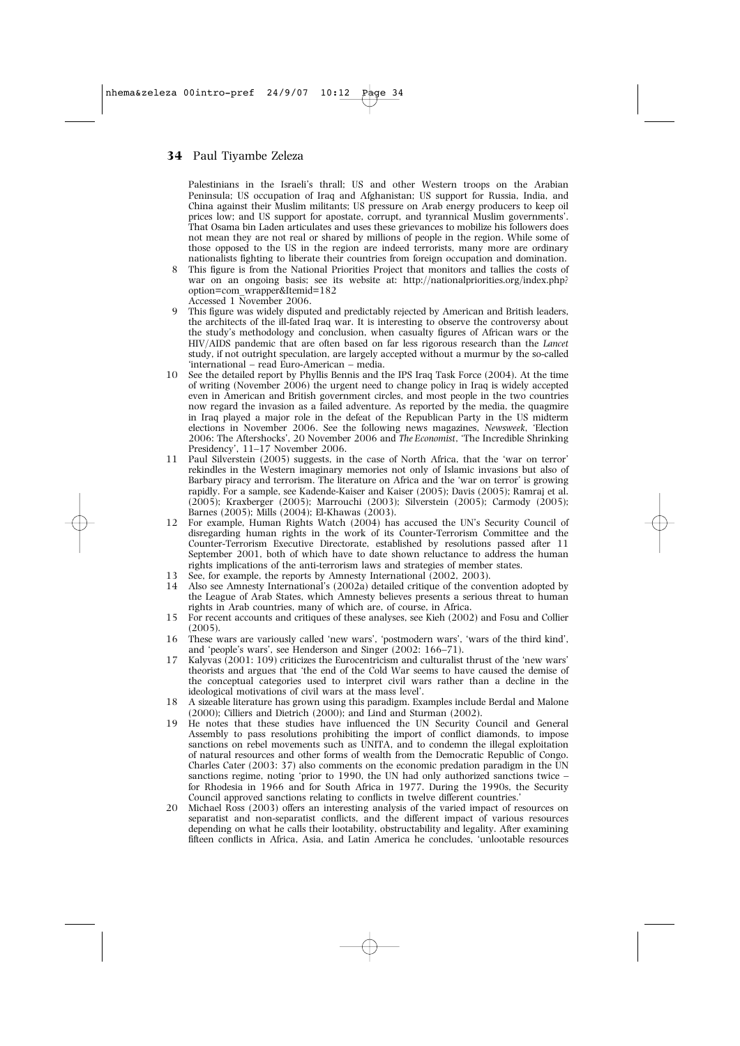Palestinians in the Israeli's thrall; US and other Western troops on the Arabian Peninsula; US occupation of Iraq and Afghanistan; US support for Russia, India, and China against their Muslim militants; US pressure on Arab energy producers to keep oil prices low; and US support for apostate, corrupt, and tyrannical Muslim governments'. That Osama bin Laden articulates and uses these grievances to mobilize his followers does not mean they are not real or shared by millions of people in the region. While some of those opposed to the US in the region are indeed terrorists, many more are ordinary nationalists fighting to liberate their countries from foreign occupation and domination.

- 8 This figure is from the National Priorities Project that monitors and tallies the costs of war on an ongoing basis; see its website at: http://nationalpriorities.org/index.php? option=com\_wrapper&Itemid=182 Accessed 1 November 2006.
- 9 This figure was widely disputed and predictably rejected by American and British leaders, the architects of the ill-fated Iraq war. It is interesting to observe the controversy about the study's methodology and conclusion, when casualty figures of African wars or the HIV/AIDS pandemic that are often based on far less rigorous research than the *Lancet* study, if not outright speculation, are largely accepted without a murmur by the so-called 'international – read Euro-American – media.
- 10 See the detailed report by Phyllis Bennis and the IPS Iraq Task Force (2004). At the time of writing (November 2006) the urgent need to change policy in Iraq is widely accepted even in American and British government circles, and most people in the two countries now regard the invasion as a failed adventure. As reported by the media, the quagmire in Iraq played a major role in the defeat of the Republican Party in the US midterm elections in November 2006. See the following news magazines, *Newsweek*, 'Election 2006: The Aftershocks', 20 November 2006 and *The Economist*, 'The Incredible Shrinking Presidency', 11–17 November 2006.
- 11 Paul Silverstein (2005) suggests, in the case of North Africa, that the 'war on terror' rekindles in the Western imaginary memories not only of Islamic invasions but also of Barbary piracy and terrorism. The literature on Africa and the 'war on terror' is growing rapidly. For a sample, see Kadende-Kaiser and Kaiser (2005); Davis (2005); Ramraj et al. (2005); Kraxberger (2005); Marrouchi (2003); Silverstein (2005); Carmody (2005); Barnes (2005); Mills (2004); El-Khawas (2003).
- 12 For example, Human Rights Watch (2004) has accused the UN's Security Council of disregarding human rights in the work of its Counter-Terrorism Committee and the Counter-Terrorism Executive Directorate, established by resolutions passed after 11 September 2001, both of which have to date shown reluctance to address the human rights implications of the anti-terrorism laws and strategies of member states.
- 13 See, for example, the reports by Amnesty International (2002, 2003).
- 14 Also see Amnesty International's (2002a) detailed critique of the convention adopted by the League of Arab States, which Amnesty believes presents a serious threat to human rights in Arab countries, many of which are, of course, in Africa.
- 15 For recent accounts and critiques of these analyses, see Kieh (2002) and Fosu and Collier (2005).
- 16 These wars are variously called 'new wars', 'postmodern wars', 'wars of the third kind', and 'people's wars', see Henderson and Singer (2002: 166–71).
- 17 Kalyvas (2001: 109) criticizes the Eurocentricism and culturalist thrust of the 'new wars' theorists and argues that 'the end of the Cold War seems to have caused the demise of the conceptual categories used to interpret civil wars rather than a decline in the ideological motivations of civil wars at the mass level'.
- 18 A sizeable literature has grown using this paradigm. Examples include Berdal and Malone (2000); Cilliers and Dietrich (2000); and Lind and Sturman (2002).
- 19 He notes that these studies have influenced the UN Security Council and General Assembly to pass resolutions prohibiting the import of conflict diamonds, to impose sanctions on rebel movements such as UNITA, and to condemn the illegal exploitation of natural resources and other forms of wealth from the Democratic Republic of Congo. Charles Cater (2003: 37) also comments on the economic predation paradigm in the UN sanctions regime, noting 'prior to 1990, the UN had only authorized sanctions twice – for Rhodesia in 1966 and for South Africa in 1977. During the 1990s, the Security Council approved sanctions relating to conflicts in twelve different countries.'
- 20 Michael Ross (2003) offers an interesting analysis of the varied impact of resources on separatist and non-separatist conflicts, and the different impact of various resources depending on what he calls their lootability, obstructability and legality. After examining fifteen conflicts in Africa, Asia, and Latin America he concludes, 'unlootable resources